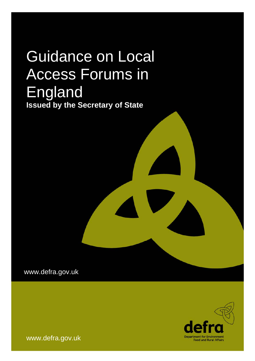# Guidance on Local Access Forums in England **Issued by the Secretary of State**

www.defra.gov.uk



www.defra.gov.uk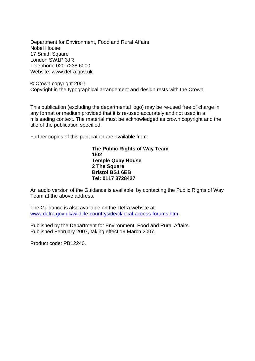Department for Environment, Food and Rural Affairs Nobel House 17 Smith Square London SW1P 3JR Telephone 020 7238 6000 Website: www.defra.gov.uk

© Crown copyright 2007 Copyright in the typographical arrangement and design rests with the Crown.

This publication (excluding the departmental logo) may be re-used free of charge in any format or medium provided that it is re-used accurately and not used in a misleading context. The material must be acknowledged as crown copyright and the title of the publication specified.

Further copies of this publication are available from:

**The Public Rights of Way Team 1/02 Temple Quay House 2 The Square Bristol BS1 6EB Tel: 0117 3728427** 

An audio version of the Guidance is available, by contacting the Public Rights of Way Team at the above address.

The Guidance is also available on the Defra website at [www.defra.gov.uk/wildlife-countryside/cl/local-access-forums.htm](http://www.defra.gov.uk/wildlife-countryside/cl/local-access-forums.htm).

Published by the Department for Environment, Food and Rural Affairs. Published February 2007, taking effect 19 March 2007.

Product code: PB12240.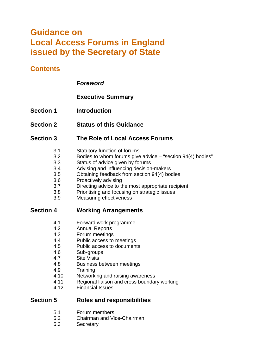# **Guidance on Local Access Forums in England issued by the Secretary of State**

# **Contents**

### *Foreword*

# **Executive Summary**

- **Section 1** Introduction
- **Section 2 Status of this Guidance**

# **Section 3 The Role of Local Access Forums**

- 3.1 Statutory function of forums
- 3.2 Bodies to whom forums give advice "section 94(4) bodies"
- 3.3 Status of advice given by forums
- 3.4 Advising and influencing decision-makers
- 3.5 Obtaining feedback from section 94(4) bodies
- 3.6 Proactively advising
- 3.7 Directing advice to the most appropriate recipient
- 3.8 Prioritising and focusing on strategic issues
- 3.9 Measuring effectiveness

# **Section 4 Working Arrangements**

- 4.1 Forward work programme<br>4.2 Annual Reports
- Annual Reports
- 4.3 Forum meetings
- 4.4 Public access to meetings
- 4.5 Public access to documents
- 4.6 Sub-groups<br>4.7 Site Visits
- **Site Visits**
- 4.8 Business between meetings
- 4.9 Training
- 4.10 Networking and raising awareness
- 4.11 Regional liaison and cross boundary working
- 4.12 Financial Issues

# **Section 5 Roles and responsibilities**

- 5.1 Forum members
- 5.2 Chairman and Vice-Chairman
- 5.3 Secretary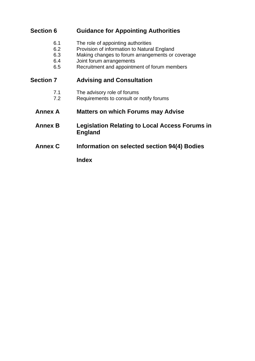# **Section 6 Guidance for Appointing Authorities**

- 6.1 The role of appointing authorities
- 6.2 Provision of information to Natural England
- 6.3 Making changes to forum arrangements or coverage
- 6.4 Joint forum arrangements
- 6.5 Recruitment and appointment of forum members

# **Section 7 Advising and Consultation**

- 7.1 The advisory role of forums
- 7.2 Requirements to consult or notify forums
- **Annex A Matters on which Forums may Advise**
- **Annex B Legislation Relating to Local Access Forums in England**
- **Annex C Information on selected section 94(4) Bodies**

**Index**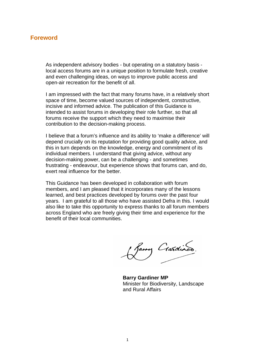### **Foreword**

As independent advisory bodies - but operating on a statutory basis local access forums are in a unique position to formulate fresh, creative and even challenging ideas, on ways to improve public access and open-air recreation for the benefit of all.

I am impressed with the fact that many forums have, in a relatively short space of time, become valued sources of independent, constructive, incisive and informed advice. The publication of this Guidance is intended to assist forums in developing their role further, so that all forums receive the support which they need to maximise their contribution to the decision-making process.

I believe that a forum's influence and its ability to 'make a difference' will depend crucially on its reputation for providing good quality advice, and this in turn depends on the knowledge, energy and commitment of its individual members. I understand that giving advice, without any decision-making power, can be a challenging - and sometimes frustrating - endeavour, but experience shows that forums can, and do, exert real influence for the better.

This Guidance has been developed in collaboration with forum members, and I am pleased that it incorporates many of the lessons learned, and best practices developed by forums over the past four years. I am grateful to all those who have assisted Defra in this. I would also like to take this opportunity to express thanks to all forum members across England who are freely giving their time and experience for the benefit of their local communities.

Jamy Crasdines

**Barry Gardiner MP**  Minister for Biodiversity, Landscape and Rural Affairs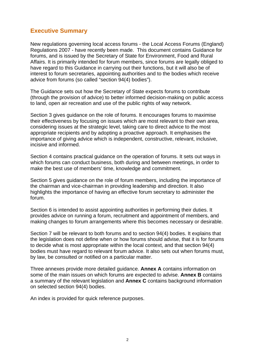# **Executive Summary**

New regulations governing local access forums - the Local Access Forums (England) Regulations 2007 - have recently been made. This document contains Guidance for forums, and is issued by the Secretary of State for Environment, Food and Rural Affairs. It is primarily intended for forum members, since forums are legally obliged to have regard to this Guidance in carrying out their functions, but it will also be of interest to forum secretaries, appointing authorities and to the bodies which receive advice from forums (so called "section 94(4) bodies").

The Guidance sets out how the Secretary of State expects forums to contribute (through the provision of advice) to better informed decision-making on public access to land, open air recreation and use of the public rights of way network.

Section 3 gives guidance on the role of forums. It encourages forums to maximise their effectiveness by focusing on issues which are most relevant to their own area, considering issues at the strategic level, taking care to direct advice to the most appropriate recipients and by adopting a proactive approach. It emphasises the importance of giving advice which is independent, constructive, relevant, inclusive, incisive and informed.

Section 4 contains practical guidance on the operation of forums. It sets out ways in which forums can conduct business, both during and between meetings, in order to make the best use of members' time, knowledge and commitment.

Section 5 gives guidance on the role of forum members, including the importance of the chairman and vice-chairman in providing leadership and direction. It also highlights the importance of having an effective forum secretary to administer the forum.

Section 6 is intended to assist appointing authorities in performing their duties. It provides advice on running a forum, recruitment and appointment of members, and making changes to forum arrangements where this becomes necessary or desirable.

Section 7 will be relevant to both forums and to section 94(4) bodies. It explains that the legislation does not define when or how forums should advise, that it is for forums to decide what is most appropriate within the local context, and that section 94(4) bodies must have regard to relevant forum advice. It also sets out when forums must, by law, be consulted or notified on a particular matter.

Three annexes provide more detailed guidance. **Annex A** contains information on some of the main issues on which forums are expected to advise. **Annex B** contains a summary of the relevant legislation and **Annex C** contains background information on selected section 94(4) bodies.

An index is provided for quick reference purposes.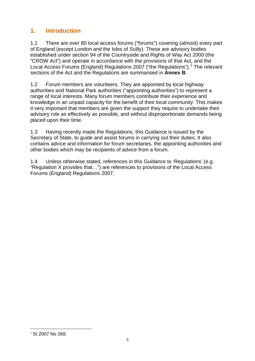# **1. Introduction**

1.1 There are over 80 local access forums ("forums") covering (almost) every part of England (except London and the Isles of Scilly). These are advisory bodies established under section 94 of the Countryside and Rights of Way Act 2000 (the "CROW Act") and operate in accordance with the provisions of that Act, and the Local Access Forums (England) Regulations 2007 ("the Regulations").<sup>[1](#page-6-0)</sup> The relevant sections of the Act and the Regulations are summarised in **Annex B**.

1.2 Forum members are volunteers. They are appointed by local highway authorities and National Park authorities ("appointing authorities") to represent a range of local interests. Many forum members contribute their experience and knowledge in an unpaid capacity for the benefit of their local community. This makes it very important that members are given the support they require to undertake their advisory role as effectively as possible, and without disproportionate demands being placed upon their time.

1.3 Having recently made the Regulations, this Guidance is issued by the Secretary of State, to guide and assist forums in carrying out their duties. It also contains advice and information for forum secretaries, the appointing authorities and other bodies which may be recipients of advice from a forum.

1.4 Unless otherwise stated, references in this Guidance to 'Regulations' (e.g. "Regulation X provides that…") are references to provisions of the Local Access Forums (England) Regulations 2007.

<span id="page-6-0"></span><sup>1</sup>  $1$  SI 2007 No 268.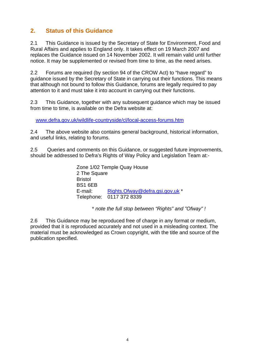# **2. Status of this Guidance**

2.1 This Guidance is issued by the Secretary of State for Environment, Food and Rural Affairs and applies to England only. It takes effect on 19 March 2007 and replaces the Guidance issued on 14 November 2002. It will remain valid until further notice. It may be supplemented or revised from time to time, as the need arises.

2.2 Forums are required (by section 94 of the CROW Act) to "have regard" to guidance issued by the Secretary of State in carrying out their functions. This means that although not bound to follow this Guidance, forums are legally required to pay attention to it and must take it into account in carrying out their functions.

2.3 This Guidance, together with any subsequent guidance which may be issued from time to time, is available on the Defra website at:

[www.defra.gov.uk/wildlife-countryside/cl/local-access-forums.htm](http://www.defra.gov.uk/wildlife-countryside/cl/local-access-forums.htm)

2.4 The above website also contains general background, historical information, and useful links, relating to forums.

2.5 Queries and comments on this Guidance, or suggested future improvements, should be addressed to Defra's Rights of Way Policy and Legislation Team at:-

> Zone 1/02 Temple Quay House 2 The Square **Bristol** BS1 6EB E-mail: [Rights.Ofway@defra.gsi.gov.uk](mailto:rights.ofway@defra.gsi.gov.uk) \* Telephone: 0117 372 8339

> > \* *note the full stop between "Rights" and "Ofway" !*

2.6 This Guidance may be reproduced free of charge in any format or medium, provided that it is reproduced accurately and not used in a misleading context. The material must be acknowledged as Crown copyright, with the title and source of the publication specified.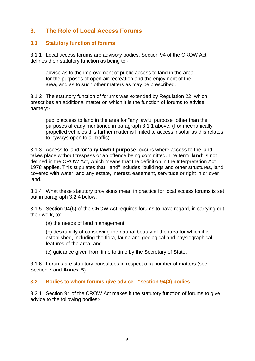# **3. The Role of Local Access Forums**

### **3.1 Statutory function of forums**

3.1.1 Local access forums are advisory bodies. Section 94 of the CROW Act defines their statutory function as being to:-

advise as to the improvement of public access to land in the area for the purposes of open-air recreation and the enjoyment of the area, and as to such other matters as may be prescribed.

3.1.2 The statutory function of forums was extended by Regulation 22, which prescribes an additional matter on which it is the function of forums to advise, namely:-

public access to land in the area for "any lawful purpose" other than the purposes already mentioned in paragraph 3.1.1 above. (For mechanically propelled vehicles this further matter is limited to access insofar as this relates to byways open to all traffic).

3.1.3 Access to land for **'any lawful purpose'** occurs where access to the land takes place without trespass or an offence being committed. The term '**land**' is not defined in the CROW Act, which means that the definition in the Interpretation Act 1978 applies. This stipulates that "land" includes "buildings and other structures, land covered with water, and any estate, interest, easement, servitude or right in or over land."

3.1.4 What these statutory provisions mean in practice for local access forums is set out in paragraph 3.2.4 below.

3.1.5 Section 94(6) of the CROW Act requires forums to have regard, in carrying out their work, to:-

(a) the needs of land management,

(b) desirability of conserving the natural beauty of the area for which it is established, including the flora, fauna and geological and physiographical features of the area, and

(c) guidance given from time to time by the Secretary of State.

3.1.6 Forums are statutory consultees in respect of a number of matters (see Section 7 and **Annex B**).

### **3.2 Bodies to whom forums give advice - "section 94(4) bodies"**

3.2.1 Section 94 of the CROW Act makes it the statutory function of forums to give advice to the following bodies:-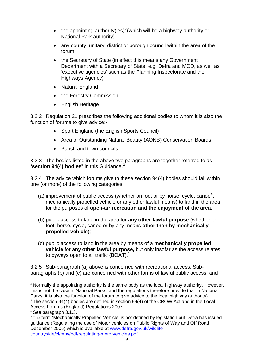- the appointing authority(ies)<sup>[2](#page-9-0)</sup>(which will be a highway authority or National Park authority)
- any county, unitary, district or borough council within the area of the forum
- the Secretary of State (in effect this means any Government Department with a Secretary of State, e.g. Defra and MOD, as well as 'executive agencies' such as the Planning Inspectorate and the Highways Agency)
- Natural England
- the Forestry Commission
- English Heritage

3.2.2 Regulation 21 prescribes the following additional bodies to whom it is also the function of forums to give advice:-

- Sport England (the English Sports Council)
- Area of Outstanding Natural Beauty (AONB) Conservation Boards
- Parish and town councils

3.2.3 The bodies listed in the above two paragraphs are together referred to as "**section 94(4) bodies**" in this Guidance.<sup>[3](#page-9-1)</sup>

3.2.4 The advice which forums give to these section 94(4) bodies should fall within one (or more) of the following categories:

- (a) improvement of public access (whether on foot or by horse, cycle, canoe<sup>[4](#page-9-2)</sup>, mechanically propelled vehicle or any other lawful means) to land in the area for the purposes of **open-air recreation and the enjoyment of the area**;
- (b) public access to land in the area for **any other lawful purpose** (whether on foot, horse, cycle, canoe or by any means **other than by mechanically propelled vehicle**);
- (c) public access to land in the area by means of a **mechanically propelled vehicle** for **any other lawful purpose,** but only insofar as the access relates to byways open to all traffic  $(BOAT)$ .<sup>[5](#page-9-3)</sup>

3.2.5 Sub-paragraph (a) above is concerned with recreational access. Subparagraphs (b) and (c) are concerned with other forms of lawful public access, and

<span id="page-9-0"></span><sup>&</sup>lt;u>.</u>  $2$  Normally the appointing authority is the same body as the local highway authority. However, this is not the case in National Parks, and the regulations therefore provide that in National Parks, it is also the function of the forum to give advice to the local highway authority).

<span id="page-9-1"></span> $3$  The section 94(4) bodies are defined in section 94(4) of the CROW Act and in the Local Access Forums (England) Regulations 2007

<span id="page-9-2"></span><sup>4</sup> See paragraph 3.1.3.

<span id="page-9-3"></span><sup>&</sup>lt;sup>5</sup> The term 'Mechanically Propelled Vehicle' is not defined by legislation but Defra has issued guidance (Regulating the use of Motor vehicles on Public Rights of Way and Off Road, December 2005) which is available at [www.defra.gov.uk/wildlife](http://www.defra.gov.uk/wildlife-countryside/cl/mpv/pdf/regulating-motorvehicles.pdf)[countryside/cl/mpv/pdf/regulating-motorvehicles.pdf](http://www.defra.gov.uk/wildlife-countryside/cl/mpv/pdf/regulating-motorvehicles.pdf).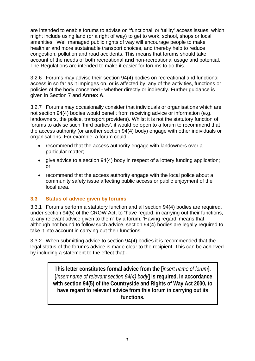are intended to enable forums to advise on 'functional' or 'utility' access issues, which might include using land (or a right of way) to get to work, school, shops or local amenities. Well managed public rights of way will encourage people to make healthier and more sustainable transport choices, and thereby help to reduce congestion, pollution and road accidents. This means that forums should take account of the needs of both recreational **and** non-recreational usage and potential. The Regulations are intended to make it easier for forums to do this.

3.2.6 Forums may advise their section 94(4) bodies on recreational and functional access in so far as it impinges on, or is affected by, any of the activities, functions or policies of the body concerned - whether directly or indirectly. Further guidance is given in Section 7 and **Annex A**.

3.2.7 Forums may occasionally consider that individuals or organisations which are not section 94(4) bodies would benefit from receiving advice or information (e.g. landowners, the police, transport providers). Whilst it is not the statutory function of forums to advise such 'third parties', it would be open to a forum to recommend that the access authority (or another section 94(4) body) engage with other individuals or organisations. For example, a forum could:-

- recommend that the access authority engage with landowners over a particular matter;
- give advice to a section 94(4) body in respect of a lottery funding application; or
- recommend that the access authority engage with the local police about a community safety issue affecting public access or public enjoyment of the local area.

### **3.3 Status of advice given by forums**

3.3.1 Forums perform a statutory function and all section 94(4) bodies are required, under section 94(5) of the CROW Act, to "have regard, in carrying out their functions, to any relevant advice given to them" by a forum. 'Having regard' means that although not bound to follow such advice, section 94(4) bodies are legally required to take it into account in carrying out their functions.

3.3.2 When submitting advice to section 94(4) bodies it is recommended that the legal status of the forum's advice is made clear to the recipient. This can be achieved by including a statement to the effect that:-

> **This letter constitutes formal advice from the [***insert name of forum***]. [***Insert name of relevant section 94(4) body***] is required, in accordance with section 94(5) of the Countryside and Rights of Way Act 2000, to have regard to relevant advice from this forum in carrying out its functions.**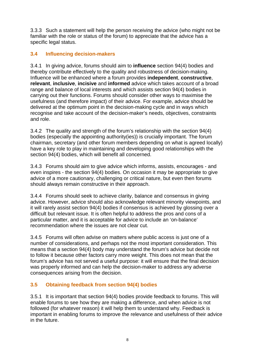3.3.3 Such a statement will help the person receiving the advice (who might not be familiar with the role or status of the forum) to appreciate that the advice has a specific legal status.

### **3.4 Influencing decision-makers**

3.4.1 In giving advice, forums should aim to **influence** section 94(4) bodies and thereby contribute effectively to the quality and robustness of decision-making. Influence will be enhanced where a forum provides **independent**, **constructive**, **relevant**, **inclusive**, **incisive** and **informed** advice which takes account of a broad range and balance of local interests and which assists section 94(4) bodies in carrying out their functions. Forums should consider other ways to maximise the usefulness (and therefore impact) of their advice. For example, advice should be delivered at the optimum point in the decision-making cycle and in ways which recognise and take account of the decision-maker's needs, objectives, constraints and role.

3.4.2 The quality and strength of the forum's relationship with the section 94(4) bodies (especially the appointing authority(ies)) is crucially important. The forum chairman, secretary (and other forum members depending on what is agreed locally) have a key role to play in maintaining and developing good relationships with the section 94(4) bodies, which will benefit all concerned.

3.4.3 Forums should aim to give advice which informs, assists, encourages - and even inspires - the section 94(4) bodies. On occasion it may be appropriate to give advice of a more cautionary, challenging or critical nature, but even then forums should always remain constructive in their approach.

3.4.4 Forums should seek to achieve clarity, balance and consensus in giving advice. However, advice should also acknowledge relevant minority viewpoints, and it will rarely assist section 94(4) bodies if consensus is achieved by glossing over a difficult but relevant issue. It is often helpful to address the pros and cons of a particular matter, and it is acceptable for advice to include an 'on-balance' recommendation where the issues are not clear cut.

3.4.5 Forums will often advise on matters where public access is just one of a number of considerations, and perhaps not the most important consideration. This means that a section 94(4) body may understand the forum's advice but decide not to follow it because other factors carry more weight. This does not mean that the forum's advice has not served a useful purpose: it will ensure that the final decision was properly informed and can help the decision-maker to address any adverse consequences arising from the decision.

### **3.5 Obtaining feedback from section 94(4) bodies**

3.5.1 It is important that section 94(4) bodies provide feedback to forums. This will enable forums to see how they are making a difference, and when advice is not followed (for whatever reason) it will help them to understand why. Feedback is important in enabling forums to improve the relevance and usefulness of their advice in the future.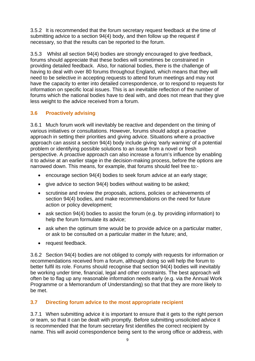3.5.2 It is recommended that the forum secretary request feedback at the time of submitting advice to a section 94(4) body, and then follow up the request if necessary, so that the results can be reported to the forum.

3.5.3 Whilst all section 94(4) bodies are strongly encouraged to give feedback, forums should appreciate that these bodies will sometimes be constrained in providing detailed feedback. Also, for national bodies, there is the challenge of having to deal with over 80 forums throughout England, which means that they will need to be selective in accepting requests to attend forum meetings and may not have the capacity to enter into detailed correspondence, or to respond to requests for information on specific local issues. This is an inevitable reflection of the number of forums which the national bodies have to deal with, and does not mean that they give less weight to the advice received from a forum.

# **3.6 Proactively advising**

3.6.1 Much forum work will inevitably be reactive and dependent on the timing of various initiatives or consultations. However, forums should adopt a proactive approach in setting their priorities and giving advice. Situations where a proactive approach can assist a section 94(4) body include giving 'early warning' of a potential problem or identifying possible solutions to an issue from a novel or fresh perspective. A proactive approach can also increase a forum's influence by enabling it to advise at an earlier stage in the decision-making process, before the options are narrowed down. This means, for example, that forums should feel free to:-

- encourage section 94(4) bodies to seek forum advice at an early stage;
- give advice to section 94(4) bodies without waiting to be asked;
- scrutinise and review the proposals, actions, policies or achievements of section 94(4) bodies, and make recommendations on the need for future action or policy development;
- ask section 94(4) bodies to assist the forum (e.g. by providing information) to help the forum formulate its advice;
- ask when the optimum time would be to provide advice on a particular matter, or ask to be consulted on a particular matter in the future; and,
- request feedback.

3.6.2 Section 94(4) bodies are not obliged to comply with requests for information or recommendations received from a forum, although doing so will help the forum to better fulfil its role. Forums should recognise that section 94(4) bodies will inevitably be working under time, financial, legal and other constraints. The best approach will often be to flag up any reasonable information needs early (e.g. via the Annual Work Programme or a Memorandum of Understanding) so that that they are more likely to be met.

### **3.7 Directing forum advice to the most appropriate recipient**

3.7.1 When submitting advice it is important to ensure that it gets to the right person or team, so that it can be dealt with promptly. Before submitting unsolicited advice it is recommended that the forum secretary first identifies the correct recipient by name. This will avoid correspondence being sent to the wrong office or address, with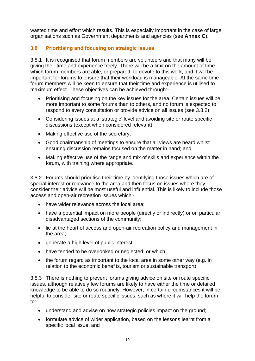wasted time and effort which results. This is especially important in the case of large organisations such as Government departments and agencies (see **Annex C**).

# **3.8 Prioritising and focusing on strategic issues**

3.8.1 It is recognised that forum members are volunteers and that many will be giving their time and experience freely. There will be a limit on the amount of time which forum members are able, or prepared, to devote to this work, and it will be important for forums to ensure that their workload is manageable. At the same time forum members will be keen to ensure that their time and experience is utilised to maximum effect. These objectives can be achieved through:-

- Prioritising and focusing on the key issues for the area. Certain issues will be more important to some forums than to others, and no forum is expected to respond to every consultation or provide advice on all issues (see 3.8.2);
- Considering issues at a 'strategic' level and avoiding site or route specific discussions (except when considered relevant);
- Making effective use of the secretary;
- Good chairmanship of meetings to ensure that all views are heard whilst ensuring discussion remains focused on the matter in hand; and
- Making effective use of the range and mix of skills and experience within the forum, with training where appropriate.

3.8.2 Forums should prioritise their time by identifying those issues which are of special interest or relevance to the area and then focus on issues where they consider their advice will be most useful and influential. This is likely to include those access and open-air recreation issues which:-

- have wider relevance across the local area;
- have a potential impact on more people (directly or indirectly) or on particular disadvantaged sections of the community;
- lie at the heart of access and open-air recreation policy and management in the area;
- generate a high level of public interest;
- have tended to be overlooked or neglected; or which
- the forum regard as important to the local area in some other way (e.g. in relation to the economic benefits, tourism or sustainable transport).

3.8.3 There is nothing to prevent forums giving advice on site or route specific issues, although relatively few forums are likely to have either the time or detailed knowledge to be able to do so routinely. However, in certain circumstances it will be helpful to consider site or route specific issues, such as where it will help the forum to:-

- understand and advise on how strategic policies impact on the ground;
- formulate advice of wider application, based on the lessons learnt from a specific local issue; and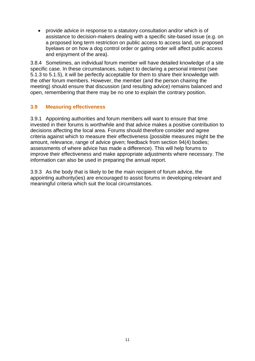• provide advice in response to a statutory consultation and/or which is of assistance to decision-makers dealing with a specific site-based issue (e.g. on a proposed long term restriction on public access to access land, on proposed byelaws or on how a dog control order or gating order will affect public access and enjoyment of the area).

3.8.4 Sometimes, an individual forum member will have detailed knowledge of a site specific case. In these circumstances, subject to declaring a personal interest (see 5.1.3 to 5.1.5), it will be perfectly acceptable for them to share their knowledge with the other forum members. However, the member (and the person chairing the meeting) should ensure that discussion (and resulting advice) remains balanced and open, remembering that there may be no one to explain the contrary position.

### **3.9 Measuring effectiveness**

3.9.1 Appointing authorities and forum members will want to ensure that time invested in their forums is worthwhile and that advice makes a positive contribution to decisions affecting the local area. Forums should therefore consider and agree criteria against which to measure their effectiveness (possible measures might be the amount, relevance, range of advice given; feedback from section 94(4) bodies; assessments of where advice has made a difference). This will help forums to improve their effectiveness and make appropriate adjustments where necessary. The information can also be used in preparing the annual report.

3.9.3 As the body that is likely to be the main recipient of forum advice, the appointing authority(ies) are encouraged to assist forums in developing relevant and meaningful criteria which suit the local circumstances.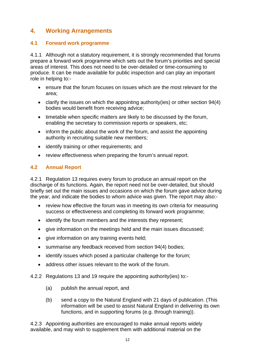# **4. Working Arrangements**

### **4.1 Forward work programme**

4.1.1 Although not a statutory requirement, it is strongly recommended that forums prepare a forward work programme which sets out the forum's priorities and special areas of interest. This does not need to be over-detailed or time-consuming to produce. It can be made available for public inspection and can play an important role in helping to:-

- ensure that the forum focuses on issues which are the most relevant for the area;
- clarify the issues on which the appointing authority(ies) or other section 94(4) bodies would benefit from receiving advice;
- timetable when specific matters are likely to be discussed by the forum, enabling the secretary to commission reports or speakers, etc;
- inform the public about the work of the forum, and assist the appointing authority in recruiting suitable new members;
- identify training or other requirements; and
- review effectiveness when preparing the forum's annual report.

### **4.2 Annual Report**

4.2.1 Regulation 13 requires every forum to produce an annual report on the discharge of its functions. Again, the report need not be over-detailed, but should briefly set out the main issues and occasions on which the forum gave advice during the year, and indicate the bodies to whom advice was given. The report may also:-

- review how effective the forum was in meeting its own criteria for measuring success or effectiveness and completing its forward work programme;
- identify the forum members and the interests they represent;
- give information on the meetings held and the main issues discussed:
- give information on any training events held;
- summarise any feedback received from section 94(4) bodies;
- identify issues which posed a particular challenge for the forum;
- address other issues relevant to the work of the forum.
- 4.2.2 Regulations 13 and 19 require the appointing authority(ies) to:-
	- (a) publish the annual report, and
	- (b) send a copy to the Natural England with 21 days of publication. (This information will be used to assist Natural England in delivering its own functions, and in supporting forums (e.g. through training)).

4.2.3 Appointing authorities are encouraged to make annual reports widely available, and may wish to supplement them with additional material on the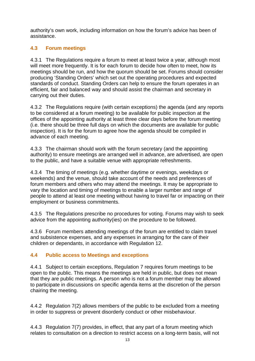authority's own work, including information on how the forum's advice has been of assistance.

# **4.3 Forum meetings**

4.3.1 The Regulations require a forum to meet at least twice a year, although most will meet more frequently. It is for each forum to decide how often to meet, how its meetings should be run, and how the quorum should be set. Forums should consider producing 'Standing Orders' which set out the operating procedures and expected standards of conduct. Standing Orders can help to ensure the forum operates in an efficient, fair and balanced way and should assist the chairman and secretary in carrying out their duties.

4.3.2 The Regulations require (with certain exceptions) the agenda (and any reports to be considered at a forum meeting) to be available for public inspection at the offices of the appointing authority at least three clear days before the forum meeting (i.e. there should be three full days on which the documents are available for public inspection). It is for the forum to agree how the agenda should be compiled in advance of each meeting.

4.3.3 The chairman should work with the forum secretary (and the appointing authority) to ensure meetings are arranged well in advance, are advertised, are open to the public, and have a suitable venue with appropriate refreshments.

4.3.4 The timing of meetings (e.g. whether daytime or evenings, weekdays or weekends) and the venue, should take account of the needs and preferences of forum members and others who may attend the meetings. It may be appropriate to vary the location and timing of meetings to enable a larger number and range of people to attend at least one meeting without having to travel far or impacting on their employment or business commitments.

4.3.5 The Regulations prescribe no procedures for voting. Forums may wish to seek advice from the appointing authority(ies) on the procedure to be followed.

4.3.6 Forum members attending meetings of the forum are entitled to claim travel and subsistence expenses, and any expenses in arranging for the care of their children or dependants, in accordance with Regulation 12.

### **4.4 Public access to Meetings and exceptions**

4.4.1 Subject to certain exceptions, Regulation 7 requires forum meetings to be open to the public. This means the meetings are held in public, but does not mean that they are public meetings. A person who is not a forum member may be allowed to participate in discussions on specific agenda items at the discretion of the person chairing the meeting.

4.4.2 Regulation 7(2) allows members of the public to be excluded from a meeting in order to suppress or prevent disorderly conduct or other misbehaviour.

4.4.3 Regulation 7(7) provides, in effect, that any part of a forum meeting which relates to consultation on a direction to restrict access on a long-term basis, will not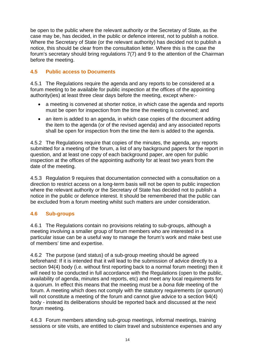be open to the public where the relevant authority or the Secretary of State, as the case may be, has decided, in the public or defence interest, not to publish a notice. Where the Secretary of State (or the relevant authority) has decided not to publish a notice, this should be clear from the consultation letter. Where this is the case the forum's secretary should bring regulations 7(7) and 9 to the attention of the Chairman before the meeting.

### **4.5 Public access to Documents**

4.5.1 The Regulations require the agenda and any reports to be considered at a forum meeting to be available for public inspection at the offices of the appointing authority(ies) at least three clear days before the meeting, except where:-

- a meeting is convened at shorter notice, in which case the agenda and reports must be open for inspection from the time the meeting is convened; and
- an item is added to an agenda, in which case copies of the document adding the item to the agenda (or of the revised agenda) and any associated reports shall be open for inspection from the time the item is added to the agenda.

4.5.2 The Regulations require that copies of the minutes, the agenda, any reports submitted for a meeting of the forum, a list of any background papers for the report in question, and at least one copy of each background paper, are open for public inspection at the offices of the appointing authority for at least two years from the date of the meeting.

4.5.3 Regulation 9 requires that documentation connected with a consultation on a direction to restrict access on a long-term basis will not be open to public inspection where the relevant authority or the Secretary of State has decided not to publish a notice in the public or defence interest. It should be remembered that the public can be excluded from a forum meeting whilst such matters are under consideration.

### **4.6 Sub-groups**

4.6.1 The Regulations contain no provisions relating to sub-groups, although a meeting involving a smaller group of forum members who are interested in a particular issue can be a useful way to manage the forum's work and make best use of members' time and expertise.

4.6.2 The purpose (and status) of a sub-group meeting should be agreed beforehand: If it is intended that it will lead to the submission of advice directly to a section 94(4) body (i.e. without first reporting back to a normal forum meeting) then it will need to be conducted in full accordance with the Regulations (open to the public, availability of agenda, minutes and reports, etc) and meet any local requirements for a quorum. In effect this means that the meeting must be a *bona fide* meeting of the forum. A meeting which does not comply with the statutory requirements (or quorum) will not constitute a meeting of the forum and cannot give advice to a section 94(4) body - instead its deliberations should be reported back and discussed at the next forum meeting.

4.6.3 Forum members attending sub-group meetings, informal meetings, training sessions or site visits, are entitled to claim travel and subsistence expenses and any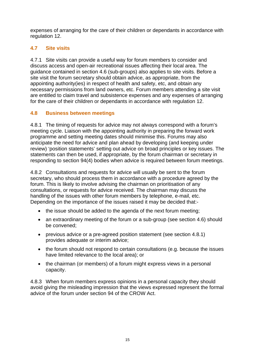expenses of arranging for the care of their children or dependants in accordance with regulation 12.

# **4.7 Site visits**

4.7.1 Site visits can provide a useful way for forum members to consider and discuss access and open-air recreational issues affecting their local area. The guidance contained in section 4.6 (sub-groups) also applies to site visits. Before a site visit the forum secretary should obtain advice, as appropriate, from the appointing authority(ies) in respect of health and safety, etc, and obtain any necessary permissions from land owners, etc. Forum members attending a site visit are entitled to claim travel and subsistence expenses and any expenses of arranging for the care of their children or dependants in accordance with regulation 12.

### **4.8 Business between meetings**

4.8.1 The timing of requests for advice may not always correspond with a forum's meeting cycle. Liaison with the appointing authority in preparing the forward work programme and setting meeting dates should minimise this. Forums may also anticipate the need for advice and plan ahead by developing (and keeping under review) 'position statements' setting out advice on broad principles or key issues. The statements can then be used, if appropriate, by the forum chairman or secretary in responding to section 94(4) bodies when advice is required between forum meetings.

4.8.2 Consultations and requests for advice will usually be sent to the forum secretary, who should process them in accordance with a procedure agreed by the forum. This is likely to involve advising the chairman on prioritisation of any consultations, or requests for advice received. The chairman may discuss the handling of the issues with other forum members by telephone, e-mail, etc. Depending on the importance of the issues raised it may be decided that:-

- the issue should be added to the agenda of the next forum meeting:
- an extraordinary meeting of the forum or a sub-group (see section 4.6) should be convened;
- previous advice or a pre-agreed position statement (see section 4.8.1) provides adequate or interim advice;
- the forum should not respond to certain consultations (e.g. because the issues have limited relevance to the local area); or
- the chairman (or members) of a forum might express views in a personal capacity.

4.8.3 When forum members express opinions in a personal capacity they should avoid giving the misleading impression that the views expressed represent the formal advice of the forum under section 94 of the CROW Act.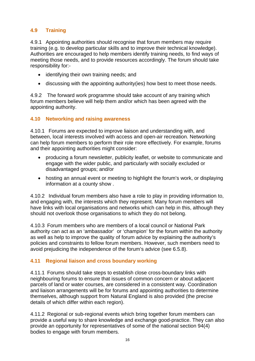### **4.9 Training**

4.9.1 Appointing authorities should recognise that forum members may require training (e.g. to develop particular skills and to improve their technical knowledge). Authorities are encouraged to help members identify training needs, to find ways of meeting those needs, and to provide resources accordingly. The forum should take responsibility for:-

- identifying their own training needs; and
- discussing with the appointing authority(ies) how best to meet those needs.

4.9.2 The forward work programme should take account of any training which forum members believe will help them and/or which has been agreed with the appointing authority.

### **4.10 Networking and raising awareness**

4.10.1 Forums are expected to improve liaison and understanding with, and between, local interests involved with access and open-air recreation. Networking can help forum members to perform their role more effectively. For example, forums and their appointing authorities might consider:

- producing a forum newsletter, publicity leaflet, or website to communicate and engage with the wider public, and particularly with socially excluded or disadvantaged groups; and/or
- hosting an annual event or meeting to highlight the forum's work, or displaying information at a county show .

4.10.2 Individual forum members also have a role to play in providing information to, and engaging with, the interests which they represent. Many forum members will have links with local organisations and networks which can help in this, although they should not overlook those organisations to which they do not belong.

4.10.3 Forum members who are members of a local council or National Park authority can act as an 'ambassador' or 'champion' for the forum within the authority as well as help to improve the quality of forum advice by explaining the authority's policies and constraints to fellow forum members. However, such members need to avoid prejudicing the independence of the forum's advice (see 6.5.8).

### **4.11 Regional liaison and cross boundary working**

4.11.1 Forums should take steps to establish close cross-boundary links with neighbouring forums to ensure that issues of common concern or about adjacent parcels of land or water courses, are considered in a consistent way. Coordination and liaison arrangements will be for forums and appointing authorities to determine themselves, although support from Natural England is also provided (the precise details of which differ within each region).

4.11.2 Regional or sub-regional events which bring together forum members can provide a useful way to share knowledge and exchange good-practice. They can also provide an opportunity for representatives of some of the national section 94(4) bodies to engage with forum members.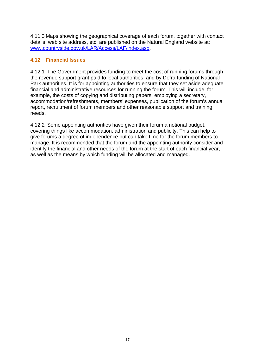4.11.3 Maps showing the geographical coverage of each forum, together with contact details, web site address, etc, are published on the Natural England website at: [www.countryside.gov.uk/LAR/Access/LAF/index.asp](http://www.countryside.gov.uk/LAR/Access/LAF/index.asp).

### **4.12 Financial Issues**

4.12.1 The Government provides funding to meet the cost of running forums through the revenue support grant paid to local authorities, and by Defra funding of National Park authorities. It is for appointing authorities to ensure that they set aside adequate financial and administrative resources for running the forum. This will include, for example, the costs of copying and distributing papers, employing a secretary, accommodation/refreshments, members' expenses, publication of the forum's annual report, recruitment of forum members and other reasonable support and training needs.

4.12.2 Some appointing authorities have given their forum a notional budget, covering things like accommodation, administration and publicity. This can help to give forums a degree of independence but can take time for the forum members to manage. It is recommended that the forum and the appointing authority consider and identify the financial and other needs of the forum at the start of each financial year, as well as the means by which funding will be allocated and managed.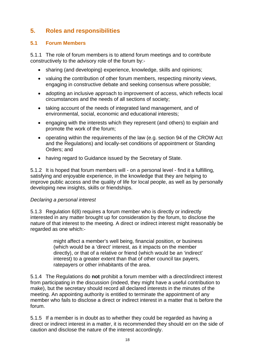# **5. Roles and responsibilities**

### **5.1 Forum Members**

5.1.1 The role of forum members is to attend forum meetings and to contribute constructively to the advisory role of the forum by:-

- sharing (and developing) experience, knowledge, skills and opinions;
- valuing the contribution of other forum members, respecting minority views, engaging in constructive debate and seeking consensus where possible;
- adopting an inclusive approach to improvement of access, which reflects local circumstances and the needs of all sections of society;
- taking account of the needs of integrated land management, and of environmental, social, economic and educational interests;
- engaging with the interests which they represent (and others) to explain and promote the work of the forum;
- operating within the requirements of the law (e.g. section 94 of the CROW Act and the Regulations) and locally-set conditions of appointment or Standing Orders; and
- having regard to Guidance issued by the Secretary of State.

5.1.2 It is hoped that forum members will - on a personal level - find it a fulfilling, satisfying and enjoyable experience, in the knowledge that they are helping to improve public access and the quality of life for local people, as well as by personally developing new insights, skills or friendships.

### *Declaring a personal interest*

5.1.3 Regulation 6(8) requires a forum member who is directly or indirectly interested in any matter brought up for consideration by the forum, to disclose the nature of that interest to the meeting. A direct or indirect interest might reasonably be regarded as one which:-

> might affect a member's well being, financial position, or business (which would be a 'direct' interest, as it impacts on the member directly), or that of a relative or friend (which would be an 'indirect' interest) to a greater extent than that of other council tax payers, ratepayers or other inhabitants of the area.

5.1.4 The Regulations do **not** prohibit a forum member with a direct/indirect interest from participating in the discussion (indeed, they might have a useful contribution to make), but the secretary should record all declared interests in the minutes of the meeting. An appointing authority is entitled to terminate the appointment of any member who fails to disclose a direct or indirect interest in a matter that is before the forum.

5.1.5 If a member is in doubt as to whether they could be regarded as having a direct or indirect interest in a matter, it is recommended they should err on the side of caution and disclose the nature of the interest accordingly.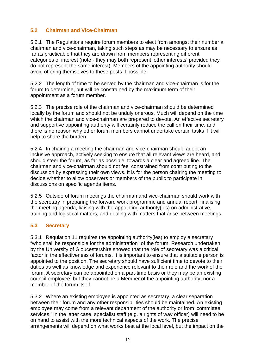### **5.2 Chairman and Vice-Chairman**

5.2.1 The Regulations require forum members to elect from amongst their number a chairman and vice-chairman, taking such steps as may be necessary to ensure as far as practicable that they are drawn from members representing different categories of interest (note - they may both represent 'other interests' provided they do not represent the same interest). Members of the appointing authority should avoid offering themselves to these posts if possible.

5.2.2 The length of time to be served by the chairman and vice-chairman is for the forum to determine, but will be constrained by the maximum term of their appointment as a forum member.

5.2.3 The precise role of the chairman and vice-chairman should be determined locally by the forum and should not be unduly onerous. Much will depend on the time which the chairman and vice-chairman are prepared to devote. An effective secretary and supportive appointing authority will certainly reduce the call on their time, and there is no reason why other forum members cannot undertake certain tasks if it will help to share the burden.

5.2.4 In chairing a meeting the chairman and vice-chairman should adopt an inclusive approach, actively seeking to ensure that all relevant views are heard, and should steer the forum, as far as possible, towards a clear and agreed line. The chairman and vice-chairman should not feel constrained from contributing to the discussion by expressing their own views. It is for the person chairing the meeting to decide whether to allow observers or members of the public to participate in discussions on specific agenda items.

5.2.5 Outside of forum meetings the chairman and vice-chairman should work with the secretary in preparing the forward work programme and annual report, finalising the meeting agenda, liaising with the appointing authority(ies) on administrative, training and logistical matters, and dealing with matters that arise between meetings.

### **5.3 Secretary**

5.3.1 Regulation 11 requires the appointing authority(ies) to employ a secretary "who shall be responsible for the administration" of the forum. Research undertaken by the University of Gloucestershire showed that the role of secretary was a critical factor in the effectiveness of forums. It is important to ensure that a suitable person is appointed to the position. The secretary should have sufficient time to devote to their duties as well as knowledge and experience relevant to their role and the work of the forum. A secretary can be appointed on a part-time basis or they may be an existing council employee, but they cannot be a Member of the appointing authority, nor a member of the forum itself.

5.3.2 Where an existing employee is appointed as secretary, a clear separation between their forum and any other responsibilities should be maintained. An existing employee may come from a relevant department of the authority or from 'committee services.' In the latter case, specialist staff (e.g. a rights of way officer) will need to be on hand to assist with the more technical aspects of the work. The precise arrangements will depend on what works best at the local level, but the impact on the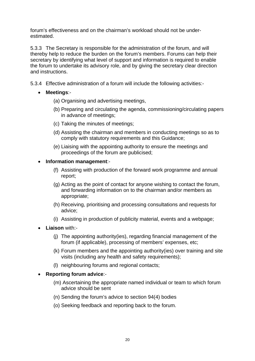forum's effectiveness and on the chairman's workload should not be underestimated.

5.3.3 The Secretary is responsible for the administration of the forum, and will thereby help to reduce the burden on the forum's members. Forums can help their secretary by identifying what level of support and information is required to enable the forum to undertake its advisory role, and by giving the secretary clear direction and instructions.

5.3.4 Effective administration of a forum will include the following activities:-

- **Meetings**:-
	- (a) Organising and advertising meetings,
	- (b) Preparing and circulating the agenda, commissioning/circulating papers in advance of meetings;
	- (c) Taking the minutes of meetings;
	- (d) Assisting the chairman and members in conducting meetings so as to comply with statutory requirements and this Guidance;
	- (e) Liaising with the appointing authority to ensure the meetings and proceedings of the forum are publicised;

#### • **Information management**:-

- (f) Assisting with production of the forward work programme and annual report;
- (g) Acting as the point of contact for anyone wishing to contact the forum, and forwarding information on to the chairman and/or members as appropriate;
- (h) Receiving, prioritising and processing consultations and requests for advice;
- (i) Assisting in production of publicity material, events and a webpage;
- **Liaison** with:-
	- (j) The appointing authority(ies), regarding financial management of the forum (if applicable), processing of members' expenses, etc;
	- (k) Forum members and the appointing authority(ies) over training and site visits (including any health and safety requirements);
	- (l) neighbouring forums and regional contacts;

#### • **Reporting forum advice**:-

- (m) Ascertaining the appropriate named individual or team to which forum advice should be sent
- (n) Sending the forum's advice to section 94(4) bodies
- (o) Seeking feedback and reporting back to the forum.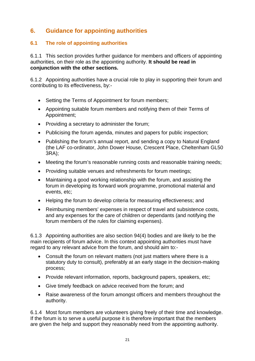# **6. Guidance for appointing authorities**

### **6.1 The role of appointing authorities**

6.1.1 This section provides further guidance for members and officers of appointing authorities, on their role as the appointing authority. **It should be read in conjunction with the other sections.** 

6.1.2 Appointing authorities have a crucial role to play in supporting their forum and contributing to its effectiveness, by:-

- Setting the Terms of Appointment for forum members;
- Appointing suitable forum members and notifying them of their Terms of Appointment;
- Providing a secretary to administer the forum;
- Publicising the forum agenda, minutes and papers for public inspection;
- Publishing the forum's annual report, and sending a copy to Natural England (the LAF co-ordinator, John Dower House, Crescent Place, Cheltenham GL50 3RA);
- Meeting the forum's reasonable running costs and reasonable training needs;
- Providing suitable venues and refreshments for forum meetings;
- Maintaining a good working relationship with the forum, and assisting the forum in developing its forward work programme, promotional material and events, etc;
- Helping the forum to develop criteria for measuring effectiveness; and
- Reimbursing members' expenses in respect of travel and subsistence costs, and any expenses for the care of children or dependants (and notifying the forum members of the rules for claiming expenses).

6.1.3 Appointing authorities are also section 94(4) bodies and are likely to be the main recipients of forum advice. In this context appointing authorities must have regard to any relevant advice from the forum, and should aim to:-

- Consult the forum on relevant matters (not just matters where there is a statutory duty to consult), preferably at an early stage in the decision-making process;
- Provide relevant information, reports, background papers, speakers, etc;
- Give timely feedback on advice received from the forum; and
- Raise awareness of the forum amongst officers and members throughout the authority.

6.1.4 Most forum members are volunteers giving freely of their time and knowledge. If the forum is to serve a useful purpose it is therefore important that the members are given the help and support they reasonably need from the appointing authority.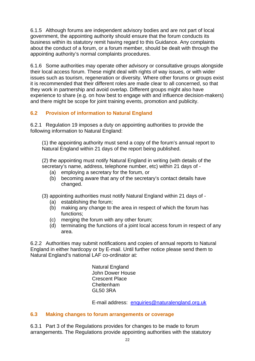6.1.5 Although forums are independent advisory bodies and are not part of local government, the appointing authority should ensure that the forum conducts its business within its statutory remit having regard to this Guidance. Any complaints about the conduct of a forum, or a forum member, should be dealt with through the appointing authority's normal complaints procedures.

6.1.6 Some authorities may operate other advisory or consultative groups alongside their local access forum. These might deal with rights of way issues, or with wider issues such as tourism, regeneration or diversity. Where other forums or groups exist it is recommended that their different roles are made clear to all concerned, so that they work in partnership and avoid overlap. Different groups might also have experience to share (e.g. on how best to engage with and influence decision-makers) and there might be scope for joint training events, promotion and publicity.

# **6.2 Provision of information to Natural England**

6.2.1 Regulation 19 imposes a duty on appointing authorities to provide the following information to Natural England:

(1) the appointing authority must send a copy of the forum's annual report to Natural England within 21 days of the report being published.

(2) the appointing must notify Natural England in writing (with details of the secretary's name, address, telephone number, etc) within 21 days of -

- (a) employing a secretary for the forum, or
- (b) becoming aware that any of the secretary's contact details have changed.
- (3) appointing authorities must notify Natural England within 21 days of
	- (a) establishing the forum;
	- (b) making any change to the area in respect of which the forum has functions;
	- (c) merging the forum with any other forum;
	- (d) terminating the functions of a joint local access forum in respect of any area.

6.2.2 Authorities may submit notifications and copies of annual reports to Natural England in either hardcopy or by E-mail. Until further notice please send them to Natural England's national LAF co-ordinator at:

> Natural England John Dower House Crescent Place Cheltenham GL50 3RA

E-mail address: [enquiries@naturalengland.org.uk](mailto:enquiries@naturalengland.org.uk)

### **6.3 Making changes to forum arrangements or coverage**

6.3.1 Part 3 of the Regulations provides for changes to be made to forum arrangements. The Regulations provide appointing authorities with the statutory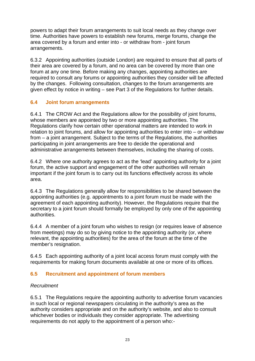powers to adapt their forum arrangements to suit local needs as they change over time. Authorities have powers to establish new forums, merge forums, change the area covered by a forum and enter into - or withdraw from - joint forum arrangements.

6.3.2 Appointing authorities (outside London) are required to ensure that all parts of their area are covered by a forum, and no area can be covered by more than one forum at any one time. Before making any changes, appointing authorities are required to consult any forums or appointing authorities they consider will be affected by the changes. Following consultation, changes to the forum arrangements are given effect by notice in writing – see Part 3 of the Regulations for further details.

### **6.4 Joint forum arrangements**

6.4.1 The CROW Act and the Regulations allow for the possibility of joint forums, whose members are appointed by two or more appointing authorities. The Regulations clarify how certain other operational matters are intended to work in relation to joint forums, and allow for appointing authorities to enter into – or withdraw from – a joint arrangement. Subject to the terms of the Regulations, the authorities participating in joint arrangements are free to decide the operational and administrative arrangements between themselves, including the sharing of costs.

6.4.2 Where one authority agrees to act as the 'lead' appointing authority for a joint forum, the active support and engagement of the other authorities will remain important if the joint forum is to carry out its functions effectively across its whole area.

6.4.3 The Regulations generally allow for responsibilities to be shared between the appointing authorities (e.g. appointments to a joint forum must be made with the agreement of each appointing authority). However, the Regulations require that the secretary to a joint forum should formally be employed by only one of the appointing authorities.

6.4.4 A member of a joint forum who wishes to resign (or requires leave of absence from meetings) may do so by giving notice to the appointing authority (or, where relevant, the appointing authorities) for the area of the forum at the time of the member's resignation.

6.4.5 Each appointing authority of a joint local access forum must comply with the requirements for making forum documents available at one or more of its offices.

### **6.5 Recruitment and appointment of forum members**

### *Recruitment*

6.5.1 The Regulations require the appointing authority to advertise forum vacancies in such local or regional newspapers circulating in the authority's area as the authority considers appropriate and on the authority's website, and also to consult whichever bodies or individuals they consider appropriate. The advertising requirements do not apply to the appointment of a person who:-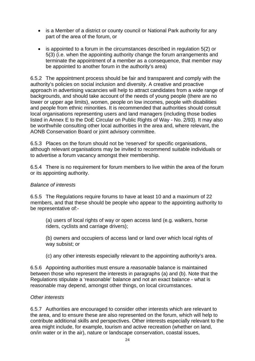- is a Member of a district or county council or National Park authority for any part of the area of the forum, or
- is appointed to a forum in the circumstances described in regulation 5(2) or 5(3) (i.e. when the appointing authority change the forum arrangements and terminate the appointment of a member as a consequence, that member may be appointed to another forum in the authority's area)

6.5.2 The appointment process should be fair and transparent and comply with the authority's policies on social inclusion and diversity. A creative and proactive approach in advertising vacancies will help to attract candidates from a wide range of backgrounds, and should take account of the needs of young people (there are no lower or upper age limits), women, people on low incomes, people with disabilities and people from ethnic minorities. It is recommended that authorities should consult local organisations representing users and land managers (including those bodies listed in Annex E to the DoE Circular on Public Rights of Way - No. 2/93). It may also be worthwhile consulting other local authorities in the area and, where relevant, the AONB Conservation Board or joint advisory committee.

6.5.3 Places on the forum should not be 'reserved' for specific organisations, although relevant organisations may be invited to recommend suitable individuals or to advertise a forum vacancy amongst their membership.

6.5.4 There is no requirement for forum members to live within the area of the forum or its appointing authority.

### *Balance of interests*

6.5.5 The Regulations require forums to have at least 10 and a maximum of 22 members, and that these should be people who appear to the appointing authority to be representative of:-

(a) users of local rights of way or open access land (e.g. walkers, horse riders, cyclists and carriage drivers);

(b) owners and occupiers of access land or land over which local rights of way subsist; or

(c) any other interests especially relevant to the appointing authority's area.

6.5.6 Appointing authorities must ensure a *reasonable* balance is maintained between those who represent the interests in paragraphs (a) and (b). Note that the Regulations stipulate a 'reasonable' balance and not an exact balance - what is reasonable may depend, amongst other things, on local circumstances.

### *Other interests*

6.5.7 Authorities are encouraged to consider other interests which are relevant to the area, and to ensure these are also represented on the forum, which will help to contribute additional skills and perspectives. Other interests especially relevant to the area might include, for example, tourism and active recreation (whether on land, on/in water or in the air), nature or landscape conservation, coastal issues,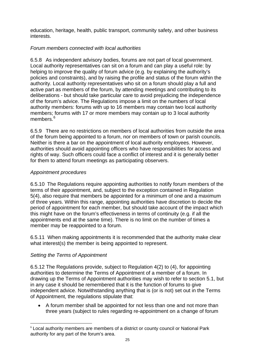education, heritage, health, public transport, community safety, and other business interests.

### *Forum members connected with local authorities*

6.5.8 As independent advisory bodies, forums are not part of local government. Local authority representatives can sit on a forum and can play a useful role: by helping to improve the quality of forum advice (e.g. by explaining the authority's policies and constraints), and by raising the profile and status of the forum within the authority. Local authority representatives who sit on a forum should play a full and active part as members of the forum, by attending meetings and contributing to its deliberations - but should take particular care to avoid prejudicing the independence of the forum's advice. The Regulations impose a limit on the numbers of local authority members: forums with up to 16 members may contain two local authority members; forums with 17 or more members may contain up to 3 local authority members.<sup>[6](#page-28-0)</sup>

6.5.9 There are no restrictions on members of local authorities from outside the area of the forum being appointed to a forum, nor on members of town or parish councils. Neither is there a bar on the appointment of local authority employees. However, authorities should avoid appointing officers who have responsibilities for access and rights of way. Such officers could face a conflict of interest and it is generally better for them to attend forum meetings as participating observers.

### *Appointment procedures*

6.5.10 The Regulations require appointing authorities to notify forum members of the terms of their appointment, and, subject to the exception contained in Regulation 5(4), also require that members be appointed for a minimum of one and a maximum of three years. Within this range, appointing authorities have discretion to decide the period of appointment for each member, but should take account of the impact which this might have on the forum's effectiveness in terms of continuity (e.g. if all the appointments end at the same time). There is no limit on the number of times a member may be reappointed to a forum.

6.5.11 When making appointments it is recommended that the authority make clear what interest(s) the member is being appointed to represent.

### *Setting the Terms of Appointment*

1

6.5.12 The Regulations provide, subject to Regulation 4(2) to (4), for appointing authorities to determine the Terms of Appointment of a member of a forum. In drawing up the Terms of Appointment authorities may wish to refer to section 5.1, but in any case it should be remembered that it is the function of forums to give independent advice. Notwithstanding anything that is (or is not) set out in the Terms of Appointment, the regulations stipulate that:

• A forum member shall be appointed for not less than one and not more than three years (subject to rules regarding re-appointment on a change of forum

<span id="page-28-0"></span><sup>6</sup> Local authority members are members of a district or county council or National Park authority for any part of the forum's area.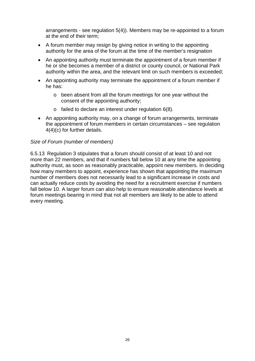arrangements - see regulation 5(4)). Members may be re-appointed to a forum at the end of their term;

- A forum member may resign by giving notice in writing to the appointing authority for the area of the forum at the time of the member's resignation
- An appointing authority must terminate the appointment of a forum member if he or she becomes a member of a district or county council, or National Park authority within the area, and the relevant limit on such members is exceeded;
- An appointing authority may terminate the appointment of a forum member if he has:
	- o been absent from all the forum meetings for one year without the consent of the appointing authority;
	- o failed to declare an interest under regulation 6(8).
- An appointing authority may, on a change of forum arrangements, terminate the appointment of forum members in certain circumstances – see regulation 4(4)(c) for further details.

#### *Size of Forum (number of members)*

6.5.13 Regulation 3 stipulates that a forum should consist of at least 10 and not more than 22 members, and that if numbers fall below 10 at any time the appointing authority must, as soon as reasonably practicable, appoint new members. In deciding how many members to appoint, experience has shown that appointing the maximum number of members does not necessarily lead to a significant increase in costs and can actually reduce costs by avoiding the need for a recruitment exercise if numbers fall below 10. A larger forum can also help to ensure reasonable attendance levels at forum meetings bearing in mind that not all members are likely to be able to attend every meeting.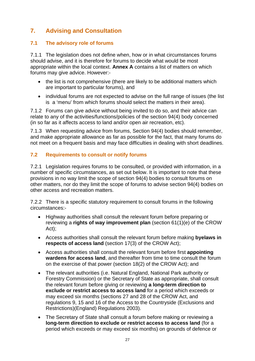# **7. Advising and Consultation**

### **7.1 The advisory role of forums**

7.1.1 The legislation does not define when, how or in what circumstances forums should advise, and it is therefore for forums to decide what would be most appropriate within the local context. **Annex A** contains a list of matters on which forums may give advice. However:-

- the list is not comprehensive (there are likely to be additional matters which are important to particular forums), and
- individual forums are not expected to advise on the full range of issues (the list is a 'menu' from which forums should select the matters in their area).

7.1.2 Forums can give advice without being invited to do so, and their advice can relate to any of the activities/functions/policies of the section 94(4) body concerned (in so far as it affects access to land and/or open air recreation, etc).

7.1.3 When requesting advice from forums, Section 94(4) bodies should remember, and make appropriate allowance as far as possible for the fact, that many forums do not meet on a frequent basis and may face difficulties in dealing with short deadlines.

### **7.2 Requirements to consult or notify forums**

7.2.1 Legislation requires forums to be consulted, or provided with information, in a number of specific circumstances, as set out below. It is important to note that these provisions in no way limit the scope of section 94(4) bodies to consult forums on other matters, nor do they limit the scope of forums to advise section 94(4) bodies on other access and recreation matters.

7.2.2 There is a specific statutory requirement to consult forums in the following circumstances:-

- Highway authorities shall consult the relevant forum before preparing or reviewing a **rights of way improvement plan** (section 61(1)(e) of the CROW Act);
- Access authorities shall consult the relevant forum before making **byelaws in respects of access land** (section 17(3) of the CROW Act);
- Access authorities shall consult the relevant forum before first **appointing wardens for access land**, and thereafter from time to time consult the forum on the exercise of that power (section 18(2) of the CROW Act); and
- The relevant authorities (i.e. Natural England, National Park authority or Forestry Commission) or the Secretary of State as appropriate, shall consult the relevant forum before giving or reviewing **a long-term direction to exclude or restrict access to access land** for a period which exceeds or may exceed six months (sections 27 and 28 of the CROW Act, and regulations 9, 15 and 16 of the Access to the Countryside (Exclusions and Restrictions)(England) Regulations 2003).
- The Secretary of State shall consult a forum before making or reviewing a **long-term direction to exclude or restrict access to access land** (for a period which exceeds or may exceed six months) on grounds of defence or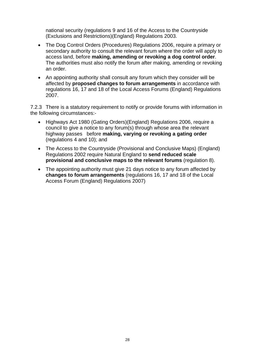national security (regulations 9 and 16 of the Access to the Countryside (Exclusions and Restrictions)(England) Regulations 2003.

- The Dog Control Orders (Procedures) Regulations 2006, require a primary or secondary authority to consult the relevant forum where the order will apply to access land, before **making, amending or revoking a dog control order**. The authorities must also notify the forum after making, amending or revoking an order.
- An appointing authority shall consult any forum which they consider will be affected by **proposed changes to forum arrangements** in accordance with regulations 16, 17 and 18 of the Local Access Forums (England) Regulations 2007.

7.2.3 There is a statutory requirement to notify or provide forums with information in the following circumstances:-

- Highways Act 1980 (Gating Orders)(England) Regulations 2006, require a council to give a notice to any forum(s) through whose area the relevant highway passes before **making, varying or revoking a gating order** (regulations 4 and 10); and
- The Access to the Countryside (Provisional and Conclusive Maps) (England) Regulations 2002 require Natural England to **send reduced scale provisional and conclusive maps to the relevant forums** (regulation 8).
- The appointing authority must give 21 days notice to any forum affected by **changes to forum arrangements** (regulations 16, 17 and 18 of the Local Access Forum (England) Regulations 2007)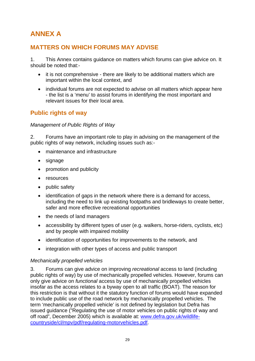# **ANNEX A**

# **MATTERS ON WHICH FORUMS MAY ADVISE**

1. This Annex contains guidance on matters which forums can give advice on. It should be noted that:-

- it is not comprehensive there are likely to be additional matters which are important within the local context, and
- individual forums are not expected to advise on all matters which appear here - the list is a 'menu' to assist forums in identifying the most important and relevant issues for their local area.

# **Public rights of way**

### *Management of Public Rights of Way*

2. Forums have an important role to play in advising on the management of the public rights of way network, including issues such as:-

- maintenance and infrastructure
- signage
- promotion and publicity
- resources
- public safety
- identification of gaps in the network where there is a demand for access, including the need to link up existing footpaths and bridleways to create better, safer and more effective recreational opportunities
- the needs of land managers
- accessibility by different types of user (e.g. walkers, horse-riders, cyclists, etc) and by people with impaired mobility
- identification of opportunities for improvements to the network, and
- integration with other types of access and public transport

### *Mechanically propelled vehicles*

3. Forums can give advice on improving *recreational* access to land (including public rights of way) by use of mechanically propelled vehicles. However, forums can only give advice on *functional* access by use of mechanically propelled vehicles insofar as the access relates to a byway open to all traffic (BOAT). The reason for this restriction is that without it the statutory function of forums would have expanded to include public use of the road network by mechanically propelled vehicles. The term 'mechanically propelled vehicle' is not defined by legislation but Defra has issued guidance ("Regulating the use of motor vehicles on public rights of way and off road", December 2005) which is available at: [www.defra.gov.uk/wildlife](http://www.defra.gov.uk/wildlife-countryside/cl/mpv/pdf/regulating-motorvehicles.pdf)[countryside/cl/mpv/pdf/regulating-motorvehicles.pdf](http://www.defra.gov.uk/wildlife-countryside/cl/mpv/pdf/regulating-motorvehicles.pdf).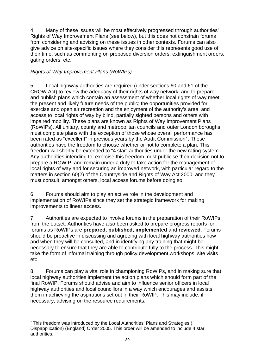4. Many of these issues will be most effectively progressed through authorities' Rights of Way Improvement Plans (see below), but this does not constrain forums from considering and advising on these issues in other contexts. Forums can also give advice on site-specific issues where they consider this represents good use of their time, such as commenting on proposed diversion orders, extinguishment orders, gating orders, etc.

### *Rights of Way Improvement Plans (RoWIPs)*

5. Local highway authorities are required (under sections 60 and 61 of the CROW Act) to review the adequacy of their rights of way network, and to prepare and publish plans which contain an assessment of whether local rights of way meet the present and likely future needs of the public; the opportunities provided for exercise and open air recreation and the enjoyment of the authority's area; and access to local rights of way by blind, partially sighted persons and others with impaired mobility. These plans are known as Rights of Way Improvement Plans (RoWIPs). All unitary, county and metropolitan councils and outer London boroughs must complete plans with the exception of those whose overall performance has been rated as "excellent" in previous years by the Audit Commission<sup>[7](#page-33-0)</sup>. These authorities have the freedom to choose whether or not to complete a plan. This freedom will shortly be extended to "4 star" authorities under the new rating system. Any authorities intending to exercise this freedom must publicise their decision not to prepare a ROWIP, and remain under a duty to take action for the management of local rights of way and for securing an improved network, with particular regard to the matters in section 60(2) of the Countryside and Rights of Way Act 2000, and they must consult, amongst others, local access forums before doing so.

6. Forums should aim to play an active role in the development and implementation of RoWIPs since they set the strategic framework for making improvements to linear access.

7. Authorities are expected to involve forums in the preparation of their RoWIPs from the outset. Authorities have also been asked to prepare progress reports for forums as RoWIPs are **prepared, published, implemented** and **reviewed**. Forums should be proactive in discussing and agreeing with local highway authorities how and when they will be consulted, and in identifying any training that might be necessary to ensure that they are able to contribute fully to the process. This might take the form of informal training through policy development workshops, site visits etc.

8. Forums can play a vital role in championing RoWIPs, and in making sure that local highway authorities implement the action plans which should form part of the final RoWIP. Forums should advise and aim to influence senior officers in local highway authorities and local councillors in a way which encourages and assists them in achieving the aspirations set out in their RoWIP. This may include, if necessary, advising on the resource requirements.

<span id="page-33-0"></span><sup>1</sup>  $7$  This freedom was introduced by the Local Authorities' Plans and Strategies ( Dispapplication) (England) Order 2005. This order will be amended to include 4 star authorities.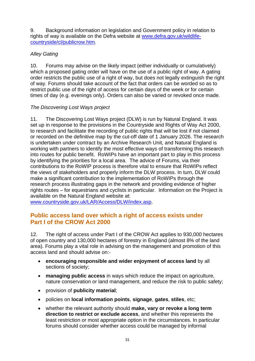9. Background information on legislation and Government policy in relation to rights of way is available on the Defra website at [www.defra.gov.uk/wildlife](http://www.defra.gov.uk/wildlife-countryside/cl/publicrow.htm)[countryside/cl/publicrow.htm.](http://www.defra.gov.uk/wildlife-countryside/cl/publicrow.htm)

### *Alley Gating*

10. Forums may advise on the likely impact (either individually or cumulatively) which a proposed gating order will have on the use of a public right of way. A gating order restricts the public use of a right of way, but does not legally extinguish the right of way. Forums should take account of the fact that orders can be worded so as to restrict public use of the right of access for certain days of the week or for certain times of day (e.g. evenings only). Orders can also be varied or revoked once made.

### *The Discovering Lost Ways project*

11. The Discovering Lost Ways project (DLW) is run by Natural England. It was set up in response to the provisions in the Countryside and Rights of Way Act 2000. to research and facilitate the recording of public rights that will be lost if not claimed or recorded on the definitive map by the cut-off date of 1 January 2026. The research is undertaken under contract by an Archive Research Unit, and Natural England is working with partners to identify the most effective ways of transforming this research into routes for public benefit. RoWIPs have an important part to play in this process by identifying the priorities for a local area. The advice of Forums, via their contributions to the RoWIP process is therefore vital to ensure that RoWIPs reflect the views of stakeholders and properly inform the DLW process. In turn, DLW could make a significant contribution to the implementation of RoWIPs through the research process illustrating gaps in the network and providing evidence of higher rights routes – for equestrians and cyclists in particular. Information on the Project is available on the Natural England website at:

[www.countryside.gov.uk/LAR/Access/DLW/index.asp.](http://www.countryside.gov.uk/LAR/Access/DLW/index.asp)

# **Public access land over which a right of access exists under Part I of the CROW Act 2000**

12. The right of access under Part I of the CROW Act applies to 930,000 hectares of open country and 130,000 hectares of forestry in England (almost 8% of the land area). Forums play a vital role in advising on the management and promotion of this access land and should advise on:-

- **encouraging responsible and wider enjoyment of access land** by all sections of society;
- **managing public access** in ways which reduce the impact on agriculture, nature conservation or land management, and reduce the risk to public safety;
- provision of **publicity material**;
- policies on **local information points**, **signage**, **gates**, **stiles**, etc;
- whether the relevant authority should **make, vary or revoke a long term direction to restrict or exclude access**, and whether this represents the least restriction or most appropriate option in the circumstances. In particular forums should consider whether access could be managed by informal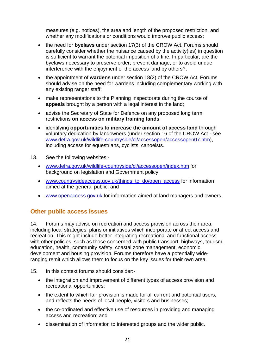measures (e.g. notices), the area and length of the proposed restriction, and whether any modifications or conditions would improve public access:

- the need for **byelaws** under section 17(3) of the CROW Act. Forums should carefully consider whether the nuisance caused by the activity(ies) in question is sufficient to warrant the potential imposition of a fine. In particular, are the byelaws necessary to preserve order, prevent damage, or to avoid undue interference with the enjoyment of the access land by others?;
- the appointment of **wardens** under section 18(2) of the CROW Act. Forums should advise on the need for wardens including complementary working with any existing ranger staff;
- make representations to the Planning Inspectorate during the course of **appeals** brought by a person with a legal interest in the land;
- advise the Secretary of State for Defence on any proposed long term restrictions **on access on military training lands**;
- identifying **opportunities to increase the amount of access land** through voluntary dedication by landowners (under section 16 of the CROW Act - see [www.defra.gov.uk/wildlife-countryside/cl/accessopen/accessopen07.htm](http://www.defra.gov.uk/wildlife-countryside/cl/accessopen/accessopen07.htm)), including access for equestrians, cyclists, canoeists.
- 13. See the following websites:-
	- [www.defra.gov.uk/wildlife-countryside/cl/accessopen/index.htm](http://www.defra.gov.uk/wildlife-countryside/cl/accessopen/index.htm) for background on legislation and Government policy;
	- [www.countrysideaccess.gov.uk/things\\_to\\_do/open\\_access](http://www.countrysideaccess.gov.uk/things_to_do/open_access) for information aimed at the general public; and
	- [www.openaccess.gov.uk](http://www.openaccess.gov.uk/) for information aimed at land managers and owners.

### **Other public access issues**

14. Forums may advise on recreation and access provision across their area, including local strategies, plans or initiatives which incorporate or affect access and recreation. This might include better integrating recreational and functional access with other policies, such as those concerned with public transport, highways, tourism, education, health, community safety, coastal zone management, economic development and housing provision. Forums therefore have a potentially wideranging remit which allows them to focus on the key issues for their own area.

- 15. In this context forums should consider:-
	- the integration and improvement of different types of access provision and recreational opportunities;
	- the extent to which fair provision is made for all current and potential users, and reflects the needs of local people, visitors and businesses;
	- the co-ordinated and effective use of resources in providing and managing access and recreation; and
	- dissemination of information to interested groups and the wider public.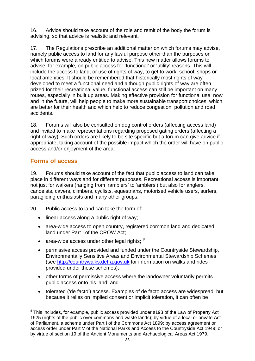16. Advice should take account of the role and remit of the body the forum is advising, so that advice is realistic and relevant.

17. The Regulations prescribe an additional matter on which forums may advise, namely public access to land for any lawful purpose other than the purposes on which forums were already entitled to advise. This new matter allows forums to advise, for example, on public access for 'functional' or 'utility' reasons. This will include the access to land, or use of rights of way, to get to work, school, shops or local amenities. It should be remembered that historically most rights of way developed to meet a functional need and although public rights of way are often prized for their recreational value, functional access can still be important on many routes, especially in built up areas. Making effective provision for functional use, now and in the future, will help people to make more sustainable transport choices, which are better for their health and which help to reduce congestion, pollution and road accidents.

18. Forums will also be consulted on dog control orders (affecting access land) and invited to make representations regarding proposed gating orders (affecting a right of way). Such orders are likely to be site specific but a forum can give advice if appropriate, taking account of the possible impact which the order will have on public access and/or enjoyment of the area.

# **Forms of access**

19. Forums should take account of the fact that public access to land can take place in different ways and for different purposes. Recreational access is important not just for walkers (ranging from 'ramblers' to 'amblers') but also for anglers, canoeists, cavers, climbers, cyclists, equestrians, motorised vehicle users, surfers, paragliding enthusiasts and many other groups.

20. Public access to land can take the form of:-

- linear access along a public right of way;
- area-wide access to open country, registered common land and dedicated land under Part I of the CROW Act;
- area-wide access under other legal rights;  $8$
- permissive access provided and funded under the Countryside Stewardship, Environmentally Sensitive Areas and Environmental Stewardship Schemes (see [http://countrywalks.defra.gov.uk](http://countrywalks.defra.gov.uk/) for information on walks and rides provided under these schemes);
- other forms of permissive access where the landowner voluntarily permits public access onto his land; and
- tolerated ('de facto') access. Examples of de facto access are widespread, but because it relies on implied consent or implicit toleration, it can often be

<span id="page-36-0"></span><sup>1</sup> <sup>8</sup> This includes, for example, public access provided under s193 of the Law of Property Act 1925 (rights of the public over commons and waste lands); by virtue of a local or private Act of Parliament, a scheme under Part I of the Commons Act 1899; by access agreement or access order under Part V of the National Parks and Access to the Countryside Act 1949; or by virtue of section 19 of the Ancient Monuments and Archaeological Areas Act 1979.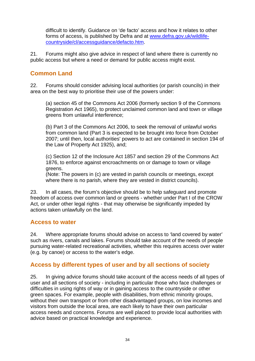difficult to identify. Guidance on 'de facto' access and how it relates to other forms of access, is published by Defra and at [www.defra.gov.uk/wildlife](http://www.defra.gov.uk/wildlife-countryside/cl/accessguidance/defacto.htm)[countryside/cl/accessguidance/defacto.htm.](http://www.defra.gov.uk/wildlife-countryside/cl/accessguidance/defacto.htm)

21. Forums might also give advice in respect of land where there is currently no public access but where a need or demand for public access might exist.

# **Common Land**

22. Forums should consider advising local authorities (or parish councils) in their area on the best way to prioritise their use of the powers under:

(a) section 45 of the Commons Act 2006 (formerly section 9 of the Commons Registration Act 1965), to protect unclaimed common land and town or village greens from unlawful interference;

(b) Part 3 of the Commons Act 2006, to seek the removal of unlawful works from common land (Part 3 is expected to be brought into force from October 2007; until then, local authorities' powers to act are contained in section 194 of the Law of Property Act 1925), and;

(c) Section 12 of the Inclosure Act 1857 and section 29 of the Commons Act 1876, to enforce against encroachments on or damage to town or village greens.

(Note: The powers in (c) are vested in parish councils or meetings, except where there is no parish, where they are vested in district councils).

23. In all cases, the forum's objective should be to help safeguard and promote freedom of access over common land or greens - whether under Part I of the CROW Act, or under other legal rights - that may otherwise be significantly impeded by actions taken unlawfully on the land.

# **Access to water**

24. Where appropriate forums should advise on access to 'land covered by water' such as rivers, canals and lakes. Forums should take account of the needs of people pursuing water-related recreational activities, whether this requires access over water (e.g. by canoe) or access to the water's edge.

# **Access by different types of user and by all sections of society**

25. In giving advice forums should take account of the access needs of all types of user and all sections of society - including in particular those who face challenges or difficulties in using rights of way or in gaining access to the countryside or other green spaces. For example, people with disabilities, from ethnic minority groups, without their own transport or from other disadvantaged groups, on low incomes and visitors from outside the local area, are each likely to have their own particular access needs and concerns. Forums are well placed to provide local authorities with advice based on practical knowledge and experience.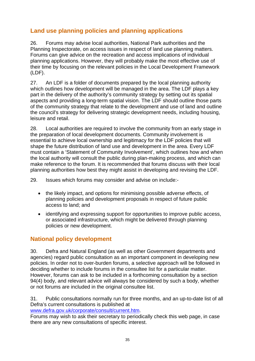# **Land use planning policies and planning applications**

26. Forums may advise local authorities, National Park authorities and the Planning Inspectorate, on access issues in respect of land use planning matters. Forums can give advice on the recreation and access implications of individual planning applications. However, they will probably make the most effective use of their time by focusing on the relevant policies in the Local Development Framework (LDF).

27. An LDF is a folder of documents prepared by the local planning authority which outlines how development will be managed in the area. The LDF plays a key part in the delivery of the authority's community strategy by setting out its spatial aspects and providing a long-term spatial vision. The LDF should outline those parts of the community strategy that relate to the development and use of land and outline the council's strategy for delivering strategic development needs, including housing, leisure and retail.

28. Local authorities are required to involve the community from an early stage in the preparation of local development documents. Community involvement is essential to achieve local ownership and legitimacy for the LDF policies that will shape the future distribution of land use and development in the area. Every LDF must contain a 'Statement of Community Involvement', which outlines how and when the local authority will consult the public during plan-making process, and which can make reference to the forum. It is recommended that forums discuss with their local planning authorities how best they might assist in developing and revising the LDF.

29. Issues which forums may consider and advise on include:-

- the likely impact, and options for minimising possible adverse effects, of planning policies and development proposals in respect of future public access to land; and
- identifying and expressing support for opportunities to improve public access, or associated infrastructure, which might be delivered through planning policies or new development.

# **National policy development**

30. Defra and Natural England (as well as other Government departments and agencies) regard public consultation as an important component in developing new policies. In order not to over-burden forums, a selective approach will be followed in deciding whether to include forums in the consultee list for a particular matter. However, forums can ask to be included in a forthcoming consultation by a section 94(4) body, and relevant advice will always be considered by such a body, whether or not forums are included in the original consultee list.

31. Public consultations normally run for three months, and an up-to-date list of all Defra's current consultations is published at

[www.defra.gov.uk/corporate/consult/current.htm.](http://www.defra.gov.uk/corporate/consult/current.htm)

Forums may wish to ask their secretary to periodically check this web page, in case there are any new consultations of specific interest.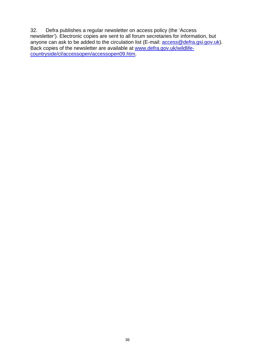32. Defra publishes a regular newsletter on access policy (the 'Access newsletter'). Electronic copies are sent to all forum secretaries for information, but anyone can ask to be added to the circulation list (E-mail: **access@defra.gsi.gov.uk**). Back copies of the newsletter are available at [www.defra.gov.uk/wildlife](http://www.defra.gov.uk/wildlife-countryside/cl/accessopen/accessopen09.htm)[countryside/cl/accessopen/accessopen09.htm.](http://www.defra.gov.uk/wildlife-countryside/cl/accessopen/accessopen09.htm)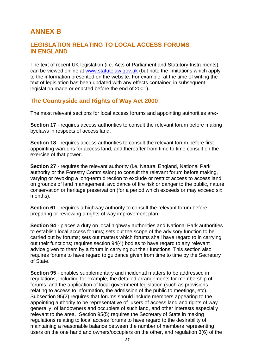# **ANNEX B**

# **LEGISLATION RELATING TO LOCAL ACCESS FORUMS IN ENGLAND**

The text of recent UK legislation (i.e. Acts of Parliament and Statutory Instruments) can be viewed online at [www.statutelaw.gov.uk](http://www.statutelaw.gov.uk/) (but note the limitations which apply to the information presented on the website. For example, at the time of writing the text of legislation has been updated with any effects contained in subsequent legislation made or enacted before the end of 2001).

# **The Countryside and Rights of Way Act 2000**

The most relevant sections for local access forums and appointing authorities are:-

**Section 17** - requires access authorities to consult the relevant forum before making byelaws in respects of access land.

**Section 18** - requires access authorities to consult the relevant forum before first appointing wardens for access land, and thereafter from time to time consult on the exercise of that power.

**Section 27** - requires the relevant authority (i.e. Natural England, National Park authority or the Forestry Commission) to consult the relevant forum before making, varying or revoking a long-term direction to exclude or restrict access to access land on grounds of land management, avoidance of fire risk or danger to the public, nature conservation or heritage preservation (for a period which exceeds or may exceed six months).

**Section 61** - requires a highway authority to consult the relevant forum before preparing or reviewing a rights of way improvement plan.

**Section 94** - places a duty on local highway authorities and National Park authorities to establish local access forums; sets out the scope of the advisory function to be carried out by forums; sets out matters which forums shall have regard to in carrying out their functions; requires section 94(4) bodies to have regard to any relevant advice given to them by a forum in carrying out their functions. This section also requires forums to have regard to guidance given from time to time by the Secretary of State.

**Section 95** - enables supplementary and incidental matters to be addressed in regulations, including for example, the detailed arrangements for membership of forums, and the application of local government legislation (such as provisions relating to access to information, the admission of the public to meetings, etc). Subsection 95(2) requires that forums should include members appearing to the appointing authority to be representative of users of access land and rights of way generally, of landowners and occupiers of such land, and other interests especially relevant to the area. Section 95(5) requires the Secretary of State in making regulations relating to local access forums to have regard to the desirability of maintaining a reasonable balance between the number of members representing users on the one hand and owners/occupiers on the other, and regulation 3(6) of the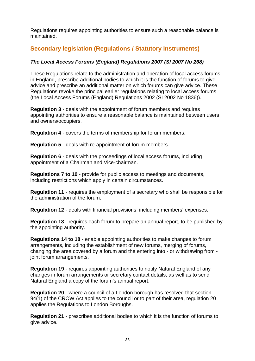Regulations requires appointing authorities to ensure such a reasonable balance is maintained.

# **Secondary legislation (Regulations / Statutory Instruments)**

### *The Local Access Forums (England) Regulations 2007 (SI 2007 No 268)*

These Regulations relate to the administration and operation of local access forums in England, prescribe additional bodies to which it is the function of forums to give advice and prescribe an additional matter on which forums can give advice. These Regulations revoke the principal earlier regulations relating to local access forums (the Local Access Forums (England) Regulations 2002 (SI 2002 No 1836)).

**Regulation 3** - deals with the appointment of forum members and requires appointing authorities to ensure a reasonable balance is maintained between users and owners/occupiers.

**Regulation 4** - covers the terms of membership for forum members.

**Regulation 5** - deals with re-appointment of forum members.

**Regulation 6** - deals with the proceedings of local access forums, including appointment of a Chairman and Vice-chairman.

**Regulations 7 to 10** - provide for public access to meetings and documents, including restrictions which apply in certain circumstances.

**Regulation 11** - requires the employment of a secretary who shall be responsible for the administration of the forum.

**Regulation 12** - deals with financial provisions, including members' expenses.

**Regulation 13** - requires each forum to prepare an annual report, to be published by the appointing authority.

**Regulations 14 to 18** - enable appointing authorities to make changes to forum arrangements, including the establishment of new forums, merging of forums, changing the area covered by a forum and the entering into - or withdrawing from joint forum arrangements.

**Regulation 19** - requires appointing authorities to notify Natural England of any changes in forum arrangements or secretary contact details, as well as to send Natural England a copy of the forum's annual report.

**Regulation 20** - where a council of a London borough has resolved that section 94(1) of the CROW Act applies to the council or to part of their area, regulation 20 applies the Regulations to London Boroughs.

**Regulation 21** - prescribes additional bodies to which it is the function of forums to give advice.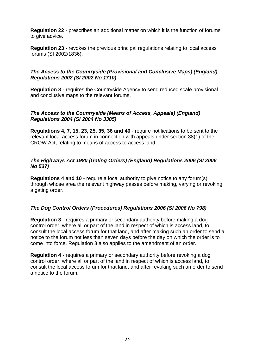**Regulation 22** - prescribes an additional matter on which it is the function of forums to give advice.

**Regulation 23** - revokes the previous principal regulations relating to local access forums (SI 2002/1836).

### *The Access to the Countryside (Provisional and Conclusive Maps) (England) Regulations 2002 (SI 2002 No 1710)*

**Regulation 8** - requires the Countryside Agency to send reduced scale provisional and conclusive maps to the relevant forums.

### *The Access to the Countryside (Means of Access, Appeals) (England) Regulations 2004 (SI 2004 No 3305)*

**Regulations 4, 7, 15, 23, 25, 35, 36 and 40** - require notifications to be sent to the relevant local access forum in connection with appeals under section 38(1) of the CROW Act, relating to means of access to access land.

### *The Highways Act 1980 (Gating Orders) (England) Regulations 2006 (SI 2006 No 537)*

**Regulations 4 and 10** - require a local authority to give notice to any forum(s) through whose area the relevant highway passes before making, varying or revoking a gating order.

### *The Dog Control Orders (Procedures) Regulations 2006 (SI 2006 No 798)*

**Regulation 3** - requires a primary or secondary authority before making a dog control order, where all or part of the land in respect of which is access land, to consult the local access forum for that land, and after making such an order to send a notice to the forum not less than seven days before the day on which the order is to come into force. Regulation 3 also applies to the amendment of an order.

**Regulation 4** - requires a primary or secondary authority before revoking a dog control order, where all or part of the land in respect of which is access land, to consult the local access forum for that land, and after revoking such an order to send a notice to the forum.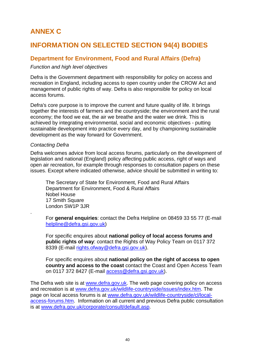# **ANNEX C**

# **INFORMATION ON SELECTED SECTION 94(4) BODIES**

# **Department for Environment, Food and Rural Affairs (Defra)**

### *Function and high level objectives*

Defra is the Government department with responsibility for policy on access and recreation in England, including access to open country under the CROW Act and management of public rights of way. Defra is also responsible for policy on local access forums.

Defra's core purpose is to improve the current and future quality of life. It brings together the interests of farmers and the countryside; the environment and the rural economy; the food we eat, the air we breathe and the water we drink. This is achieved by integrating environmental, social and economic objectives - putting sustainable development into practice every day, and by championing sustainable development as the way forward for Government.

### *Contacting Defra*

.

Defra welcomes advice from local access forums, particularly on the development of legislation and national (England) policy affecting public access, right of ways and open air recreation, for example through responses to consultation papers on these issues. Except where indicated otherwise, advice should be submitted in writing to:

The Secretary of State for Environment, Food and Rural Affairs Department for Environment, Food & Rural Affairs Nobel House 17 Smith Square London SW1P 3JR

For **general enquiries**: contact the Defra Helpline on 08459 33 55 77 (E-mail [helpline@defra.gsi.gov.uk](mailto:helpline@defra.gsi.gov.uk))

For specific enquires about **national policy of local access forums and public rights of way**: contact the Rights of Way Policy Team on 0117 372 8339 (E-mail [rights.ofway@defra.gsi.gov.uk](mailto:rights.ofway@defra.gsi.gov.uk)).

For specific enquires about **national policy on the right of access to open country and access to the coast** contact the Coast and Open Access Team on 0117 372 8427 (E-mail [access@defra.gsi.gov.uk\)](mailto:access@defra.gsi.gov.uk).

The Defra web site is at [www.defra.gov.uk.](http://www.defra.gov.uk/) The web page covering policy on access and recreation is at [www.defra.gov.uk/wildlife-countryside/issues/index.htm](http://www.defra.gov.uk/wildlife-countryside/issues/index.htm). The page on local access forums is at [www.defra.gov.uk/wildlife-countryside/cl/local](http://www.defra.gov.uk/wildlife-countryside/cl/local-access-forums.htm)[access-forums.htm](http://www.defra.gov.uk/wildlife-countryside/cl/local-access-forums.htm). Information on all current and previous Defra public consultation is at [www.defra.gov.uk/corporate/consult/default.asp.](http://www.defra.gov.uk/corporate/consult/default.asp)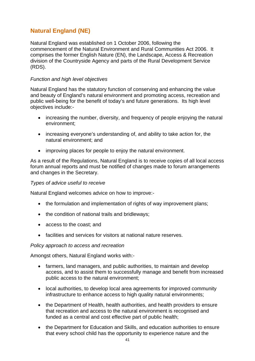# **Natural England (NE)**

Natural England was established on 1 October 2006, following the commencement of the Natural Environment and Rural Communities Act 2006. It comprises the former English Nature (EN), the Landscape, Access & Recreation division of the Countryside Agency and parts of the Rural Development Service (RDS).

### *Function and high level objectives*

Natural England has the statutory function of conserving and enhancing the value and beauty of England's natural environment and promoting access, recreation and public well-being for the benefit of today's and future generations. Its high level objectives include:-

- increasing the number, diversity, and frequency of people enjoying the natural environment;
- increasing everyone's understanding of, and ability to take action for, the natural environment; and
- improving places for people to enjoy the natural environment.

As a result of the Regulations, Natural England is to receive copies of all local access forum annual reports and must be notified of changes made to forum arrangements and changes in the Secretary.

### *Types of advice useful to receive*

Natural England welcomes advice on how to improve:-

- the formulation and implementation of rights of way improvement plans;
- the condition of national trails and bridleways;
- access to the coast; and
- facilities and services for visitors at national nature reserves.

### *Policy approach to access and recreation*

Amongst others, Natural England works with:-

- farmers, land managers, and public authorities, to maintain and develop access, and to assist them to successfully manage and benefit from increased public access to the natural environment;
- local authorities, to develop local area agreements for improved community infrastructure to enhance access to high quality natural environments;
- the Department of Health, health authorities, and health providers to ensure that recreation and access to the natural environment is recognised and funded as a central and cost effective part of public health;
- the Department for Education and Skills, and education authorities to ensure that every school child has the opportunity to experience nature and the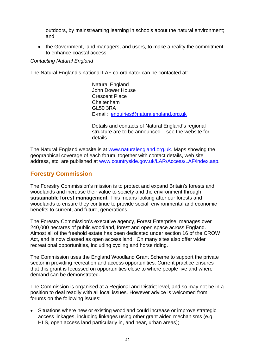outdoors, by mainstreaming learning in schools about the natural environment; and

• the Government, land managers, and users, to make a reality the commitment to enhance coastal access.

### *Contacting Natural England*

The Natural England's national LAF co-ordinator can be contacted at:

Natural England John Dower House Crescent Place Cheltenham GL50 3RA E-mail: [enquiries@naturalengland.org.uk](mailto:enquiries@naturalengland.org.uk)

Details and contacts of Natural England's regional structure are to be announced – see the website for details.

The Natural England website is at [www.naturalengland.org.uk](http://www.naturalengland.org.uk/). Maps showing the geographical coverage of each forum, together with contact details, web site address, etc, are published at [www.countryside.gov.uk/LAR/Access/LAF/index.asp.](http://www.countryside.gov.uk/LAR/Access/LAF/index.asp)

# **Forestry Commission**

The Forestry Commission's mission is to protect and expand Britain's forests and woodlands and increase their value to society and the environment through **sustainable forest management**. This means looking after our forests and woodlands to ensure they continue to provide social, environmental and economic benefits to current, and future, generations.

The Forestry Commission's executive agency, Forest Enterprise, manages over 240,000 hectares of public woodland, forest and open space across England. Almost all of the freehold estate has been dedicated under section 16 of the CROW Act, and is now classed as open access land. On many sites also offer wider recreational opportunities, including cycling and horse riding.

The Commission uses the England Woodland Grant Scheme to support the private sector in providing recreation and access opportunities. Current practice ensures that this grant is focussed on opportunities close to where people live and where demand can be demonstrated.

The Commission is organised at a Regional and District level, and so may not be in a position to deal readily with all local issues. However advice is welcomed from forums on the following issues:

• Situations where new or existing woodland could increase or improve strategic access linkages, including linkages using other grant aided mechanisms (e.g. HLS, open access land particularly in, and near, urban areas);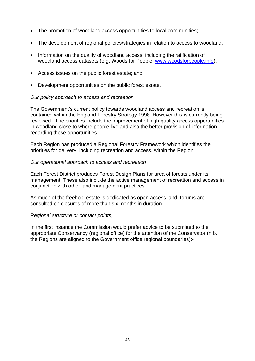- The promotion of woodland access opportunities to local communities;
- The development of regional policies/strategies in relation to access to woodland;
- Information on the quality of woodland access, including the ratification of woodland access datasets (e.g. Woods for People: [www.woodsforpeople.info](http://www.woodsforpeople.info/));
- Access issues on the public forest estate; and
- Development opportunities on the public forest estate.

### *Our policy approach to access and recreation*

The Government's current policy towards woodland access and recreation is contained within the England Forestry Strategy 1998. However this is currently being reviewed. The priorities include the improvement of high quality access opportunities in woodland close to where people live and also the better provision of information regarding these opportunities.

Each Region has produced a Regional Forestry Framework which identifies the priorities for delivery, including recreation and access, within the Region.

### *Our operational approach to access and recreation*

Each Forest District produces Forest Design Plans for area of forests under its management. These also include the active management of recreation and access in conjunction with other land management practices.

As much of the freehold estate is dedicated as open access land, forums are consulted on closures of more than six months in duration.

### *Regional structure or contact points;*

In the first instance the Commission would prefer advice to be submitted to the appropriate Conservancy (regional office) for the attention of the Conservator (n.b. the Regions are aligned to the Government office regional boundaries):-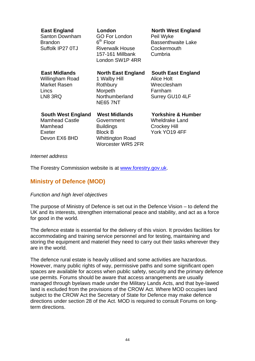|                  | <b>East England</b><br>Santon Downham<br><b>Brandon</b><br>Suffolk IP27 0TJ              | London<br><b>GO For London</b><br>6 <sup>th</sup> Floor<br><b>Riverwalk House</b><br>157-161 Millbank<br>London SW1P 4RR | <b>North West England</b><br>Peil Wyke<br><b>Bassenthwaite Lake</b><br>Cockermouth<br>Cumbria  |  |  |
|------------------|------------------------------------------------------------------------------------------|--------------------------------------------------------------------------------------------------------------------------|------------------------------------------------------------------------------------------------|--|--|
|                  | <b>East Midlands</b><br>Willingham Road<br><b>Market Rasen</b><br>Lincs<br>LN8 3RQ       | <b>North East England</b><br>1 Walby Hill<br>Rothbury<br>Morpeth<br>Northumberland<br><b>NE65 7NT</b>                    | <b>South East England</b><br><b>Alice Holt</b><br>Wrecclesham<br>Farnham<br>Surrey GU10 4LF    |  |  |
|                  | <b>South West England</b><br><b>Mamhead Castle</b><br>Mamhead<br>Exeter<br>Devon EX6 8HD | <b>West Midlands</b><br>Government<br><b>Buildings</b><br><b>Block B</b><br><b>Whittington Road</b><br>Worcester WR5 2FR | <b>Yorkshire &amp; Humber</b><br><b>Wheldrake Land</b><br><b>Crockey Hill</b><br>York YO19 4FF |  |  |
| Internet address |                                                                                          |                                                                                                                          |                                                                                                |  |  |

The Forestry Commission website is at [www.forestry.gov.uk.](http://www.forestry.gov.uk/)

# **Ministry of Defence (MOD)**

### *Function and high level objectives*

The purpose of Ministry of Defence is set out in the Defence Vision – to defend the UK and its interests, strengthen international peace and stability, and act as a force for good in the world.

The defence estate is essential for the delivery of this vision. It provides facilities for accommodating and training service personnel and for testing, maintaining and storing the equipment and materiel they need to carry out their tasks wherever they are in the world.

The defence rural estate is heavily utilised and some activities are hazardous. However, many public rights of way, permissive paths and some significant open spaces are available for access when public safety, security and the primary defence use permits. Forums should be aware that access arrangements are usually managed through byelaws made under the Military Lands Acts, and that bye-lawed land is excluded from the provisions of the CROW Act. Where MOD occupies land subject to the CROW Act the Secretary of State for Defence may make defence directions under section 28 of the Act. MOD is required to consult Forums on longterm directions.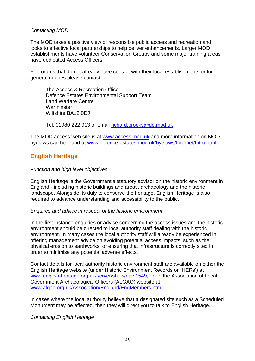### *Contacting MOD*

The MOD takes a positive view of responsible public access and recreation and looks to effective local partnerships to help deliver enhancements. Larger MOD establishments have volunteer Conservation Groups and some major training areas have dedicated Access Officers.

For forums that do not already have contact with their local establishments or for general queries please contact:-

The Access & Recreation Officer Defence Estates Environmental Support Team Land Warfare Centre **Warminster** Wiltshire BA12 0DJ

Tel: 01980 222 913 or email [richard.brooks@de.mod.uk](mailto:richard.brooks@de.mod.uk) 

The MOD access web site is at [www.access.mod.uk](http://www.access.mod.uk/) and more information on MOD byelaws can be found at [www.defence-estates.mod.uk/byelaws/Internet/Intro.html](http://www.defence-estates.mod.uk/byelaws/Internet/Intro.html).

# **English Heritage**

### *Function and high level objectives*

English Heritage is the Government's statutory advisor on the historic environment in England - including historic buildings and areas, archaeology and the historic landscape. Alongside its duty to conserve the heritage, English Heritage is also required to advance understanding and accessibility to the public.

#### *Enquires and advice in respect of the historic environment*

In the first instance enquiries or advise concerning the access issues and the historic environment should be directed to local authority staff dealing with the historic environment. In many cases the local authority staff will already be experienced in offering management advice on avoiding potential access impacts, such as the physical erosion to earthworks, or ensuring that infrastructure is correctly sited in order to minimise any potential adverse effects.

Contact details for local authority historic environment staff are available on either the English Heritage website (under Historic Environment Records or `HERs') at [www.english-heritage.org.uk/server/show/nav.1549,](http://www.english-heritage.org.uk/server/show/nav.1549) or on the Association of Local Government Archaeological Officers (ALGAO) website at [www.algao.org.uk/Association/England/EngMembers.htm](http://www.algao.org.uk/Association/England/EngMembers.htm).

In cases where the local authority believe that a designated site such as a Scheduled Monument may be affected, then they will direct you to talk to English Heritage.

### *Contacting English Heritage*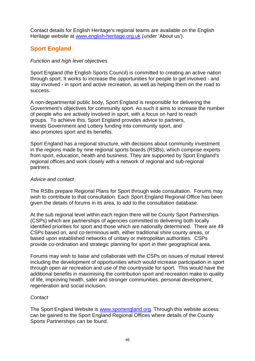Contact details for English Heritage's regional teams are available on the English Heritage website at [www.english-heritage.org.uk](http://www.english-heritage.org.uk/) (under 'About us').

# **Sport England**

### *Function and high level objectives*

Sport England (the English Sports Council) is committed to creating an active nation through sport. It works to increase the opportunities for people to get involved - and stay involved - in sport and active recreation, as well as helping them on the road to success.

A non-departmental public body, Sport England is responsible for delivering the Government's objectives for community sport. As such it aims to increase the number of people who are actively involved in sport, with a focus on hard to reach groups. To achieve this, Sport England provides advice to partners, invests Government and Lottery funding into community sport, and also promotes sport and its benefits.

Sport England has a regional structure, with decisions about community investment in the regions made by nine regional sports boards (RSBs), which comprise experts from sport, education, health and business. They are supported by Sport England's regional offices and work closely with a network of regional and sub-regional partners.

### *Advice and contact*

The RSBs prepare Regional Plans for Sport through wide consultation. Forums may wish to contribute to that consultation. Each Sport England Regional Office has been given the details of forums in its area, to add to the consultation database.

At the sub regional level within each region there will be County Sport Partnerships (CSPs) which are partnerships of agencies committed to delivering both locally identified priorities for sport and those which are nationally determined. There are 49 CSPs based on, and co-terminous with, either traditional shire county areas, or based upon established networks of unitary or metropolitan authorities. CSPs provide co-ordination and strategic planning for sport in their geographical area.

Forums may wish to liaise and collaborate with the CSPs on issues of mutual interest including the development of opportunities which would increase participation in sport through open air recreation and use of the countryside for sport. This would have the additional benefits in maximising the contribution sport and recreation make to quality of life, improving health, safer and stronger communities, personal development, regeneration and social inclusion.

### *Contact*

The Sport England Website is [www.sportengland.org](http://www.sportengland.org/). Through this website access can be gained to the Sport England Regional Offices where details of the County Sports Partnerships can be found.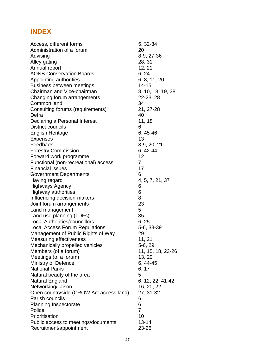# **INDEX**

| Access, different forms                 | 5, 32-34          |
|-----------------------------------------|-------------------|
| Administration of a forum               | 20                |
| Advising                                | 8-9, 27-36        |
| Alley gating                            | 28, 31            |
| Annual report                           | 12, 21            |
| <b>AONB Conservation Boards</b>         | 6, 24             |
| Appointing authorities                  | 6, 8, 11, 20      |
| Business between meetings               | 14-15             |
| Chairman and Vice-chairman              | 8, 10, 13, 19, 38 |
| Changing forum arrangements             | 22-23, 28         |
| Common land                             | 34                |
| Consulting forums (requirements)        | 21, 27-28         |
| Defra                                   | 40                |
| Declaring a Personal Interest           | 11, 18            |
| <b>District councils</b>                | 6                 |
| <b>English Heritage</b>                 | $6,45-46$         |
| <b>Expenses</b>                         | 13                |
| Feedback                                | 8-9, 20, 21       |
| <b>Forestry Commission</b>              | $6, 42 - 44$      |
| Forward work programme                  | 12                |
| Functional (non-recreational) access    | $\overline{7}$    |
| <b>Financial issues</b>                 | 17                |
| <b>Government Departments</b>           | 6                 |
| Having regard                           | 4, 5, 7, 21, 37   |
| <b>Highways Agency</b>                  | 6                 |
| Highway authorities                     | 6                 |
| Influencing decision-makers             | 8                 |
| Joint forum arrangements                | 23                |
| Land management                         | 5                 |
| Land use planning (LDFs)                | 35                |
| <b>Local Authorities/councillors</b>    | 6, 25             |
| <b>Local Access Forum Regulations</b>   | 5-6, 38-39        |
| Management of Public Rights of Way      | 29                |
| Measuring effectiveness                 | 11, 21            |
| Mechanically propelled vehicles         | 5-6, 29           |
| Members (of a forum)                    | 11, 15, 18, 23-26 |
| Meetings (of a forum)                   | 13, 20            |
| <b>Ministry of Defence</b>              | $6, 44-45$        |
| <b>National Parks</b>                   | 6, 17             |
| Natural beauty of the area              | 5                 |
| <b>Natural England</b>                  | 6, 12, 22, 41-42  |
| Networking/liaison                      | 16, 20, 22        |
| Open countryside (CROW Act access land) | 27, 31-32         |
| Parish councils                         | 6                 |
| <b>Planning Inspectorate</b>            | 6                 |
| Police                                  | $\overline{7}$    |
| Prioritisation                          | 10                |
| Public access to meetings/documents     | $13 - 14$         |
| Recruitment/appointment                 | 23-26             |